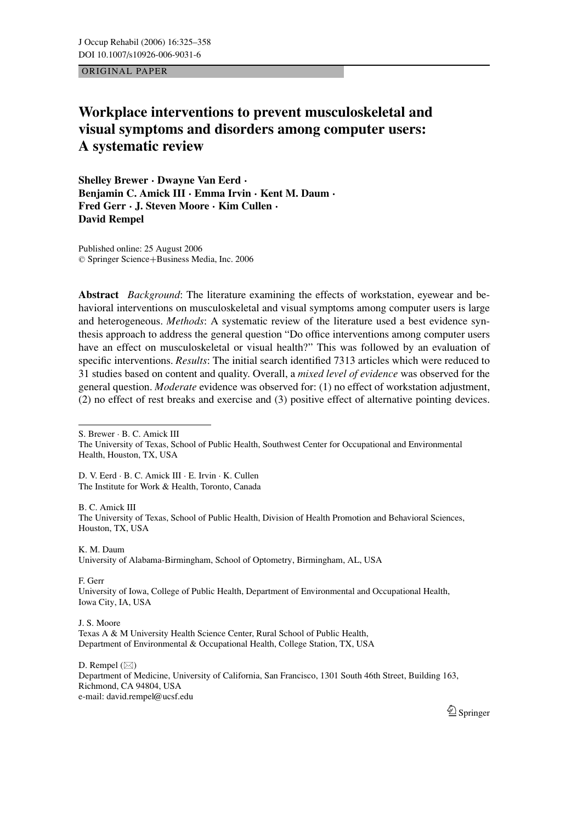ORIGINAL PAPER

# **Workplace interventions to prevent musculoskeletal and visual symptoms and disorders among computer users: A systematic review**

**Shelley Brewer · Dwayne Van Eerd · Benjamin C. Amick III · Emma Irvin · Kent M. Daum · Fred Gerr · J. Steven Moore · Kim Cullen · David Rempel**

Published online: 25 August 2006 <sup>C</sup> Springer Science+Business Media, Inc. 2006

**Abstract** *Background*: The literature examining the effects of workstation, eyewear and behavioral interventions on musculoskeletal and visual symptoms among computer users is large and heterogeneous. *Methods*: A systematic review of the literature used a best evidence synthesis approach to address the general question "Do office interventions among computer users have an effect on musculoskeletal or visual health?" This was followed by an evaluation of specific interventions. *Results*: The initial search identified 7313 articles which were reduced to 31 studies based on content and quality. Overall, a *mixed level of evidence* was observed for the general question. *Moderate* evidence was observed for: (1) no effect of workstation adjustment, (2) no effect of rest breaks and exercise and (3) positive effect of alternative pointing devices.

S. Brewer · B. C. Amick III

D. V. Eerd · B. C. Amick III · E. Irvin · K. Cullen The Institute for Work & Health, Toronto, Canada

B. C. Amick III

The University of Texas, School of Public Health, Division of Health Promotion and Behavioral Sciences, Houston, TX, USA

K. M. Daum University of Alabama-Birmingham, School of Optometry, Birmingham, AL, USA

F. Gerr University of Iowa, College of Public Health, Department of Environmental and Occupational Health, Iowa City, IA, USA

J. S. Moore Texas A & M University Health Science Center, Rural School of Public Health, Department of Environmental & Occupational Health, College Station, TX, USA

D. Rempel  $(\boxtimes)$ Department of Medicine, University of California, San Francisco, 1301 South 46th Street, Building 163, Richmond, CA 94804, USA e-mail: david.rempel@ucsf.edu

The University of Texas, School of Public Health, Southwest Center for Occupational and Environmental Health, Houston, TX, USA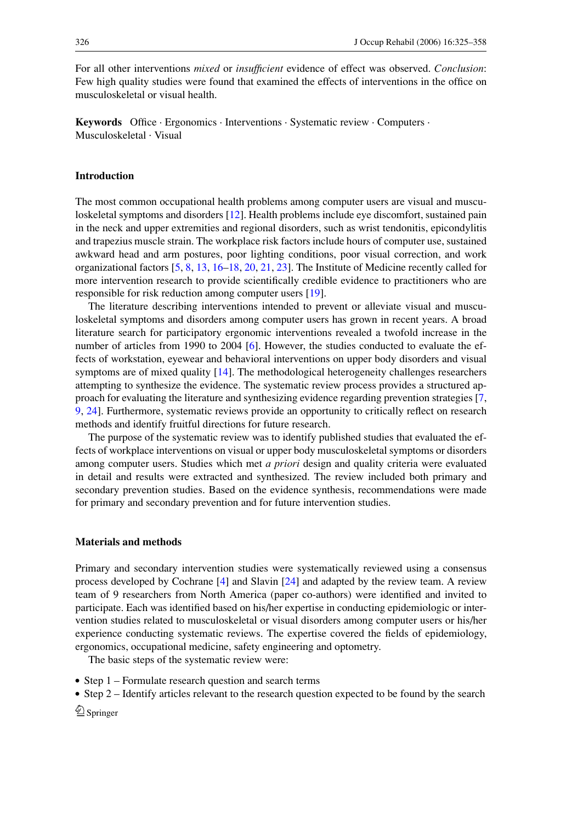For all other interventions *mixed* or *insufficient* evidence of effect was observed. *Conclusion*: Few high quality studies were found that examined the effects of interventions in the office on musculoskeletal or visual health.

**Keywords** Office · Ergonomics · Interventions · Systematic review · Computers · Musculoskeletal . Visual

## **Introduction**

The most common occupational health problems among computer users are visual and musculoskeletal symptoms and disorders [\[12\]](#page-31-0). Health problems include eye discomfort, sustained pain in the neck and upper extremities and regional disorders, such as wrist tendonitis, epicondylitis and trapezius muscle strain. The workplace risk factors include hours of computer use, sustained awkward head and arm postures, poor lighting conditions, poor visual correction, and work organizational factors [\[5,](#page-31-1) [8,](#page-31-2) [13,](#page-31-3) [16](#page-32-0)[–18,](#page-32-1) [20,](#page-32-2) [21,](#page-32-3) [23\]](#page-32-4). The Institute of Medicine recently called for more intervention research to provide scientifically credible evidence to practitioners who are responsible for risk reduction among computer users [\[19\]](#page-32-5).

The literature describing interventions intended to prevent or alleviate visual and musculoskeletal symptoms and disorders among computer users has grown in recent years. A broad literature search for participatory ergonomic interventions revealed a twofold increase in the number of articles from 1990 to 2004 [\[6\]](#page-31-4). However, the studies conducted to evaluate the effects of workstation, eyewear and behavioral interventions on upper body disorders and visual symptoms are of mixed quality [\[14\]](#page-31-5). The methodological heterogeneity challenges researchers attempting to synthesize the evidence. The systematic review process provides a structured approach for evaluating the literature and synthesizing evidence regarding prevention strategies [\[7,](#page-31-6) [9,](#page-31-7) [24\]](#page-32-6). Furthermore, systematic reviews provide an opportunity to critically reflect on research methods and identify fruitful directions for future research.

The purpose of the systematic review was to identify published studies that evaluated the effects of workplace interventions on visual or upper body musculoskeletal symptoms or disorders among computer users. Studies which met *a priori* design and quality criteria were evaluated in detail and results were extracted and synthesized. The review included both primary and secondary prevention studies. Based on the evidence synthesis, recommendations were made for primary and secondary prevention and for future intervention studies.

#### **Materials and methods**

Primary and secondary intervention studies were systematically reviewed using a consensus process developed by Cochrane [\[4\]](#page-31-8) and Slavin [\[24\]](#page-32-6) and adapted by the review team. A review team of 9 researchers from North America (paper co-authors) were identified and invited to participate. Each was identified based on his/her expertise in conducting epidemiologic or intervention studies related to musculoskeletal or visual disorders among computer users or his/her experience conducting systematic reviews. The expertise covered the fields of epidemiology, ergonomics, occupational medicine, safety engineering and optometry.

The basic steps of the systematic review were:

- Step 1 Formulate research question and search terms
- Step 2 Identify articles relevant to the research question expected to be found by the search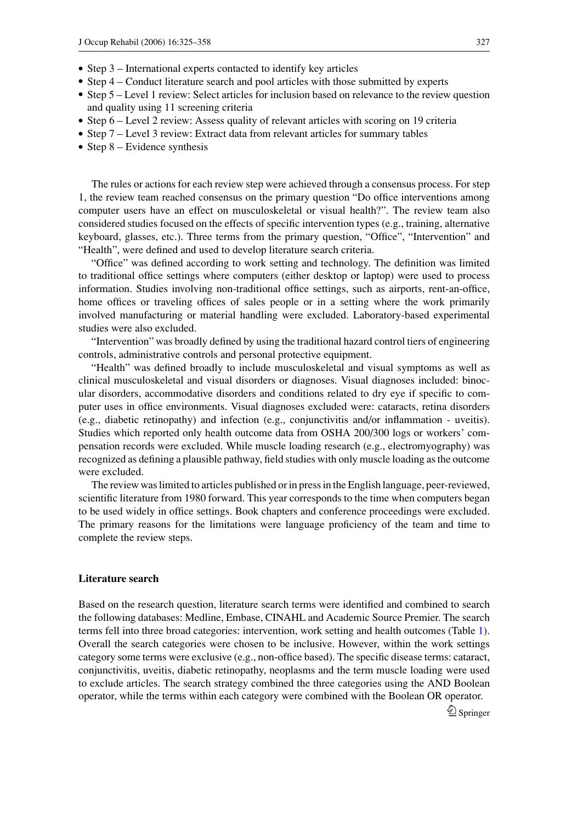- $\bullet$  Step 3 International experts contacted to identify key articles
- Step 4 Conduct literature search and pool articles with those submitted by experts
- Step 5 Level 1 review: Select articles for inclusion based on relevance to the review question and quality using 11 screening criteria
- Step 6 Level 2 review: Assess quality of relevant articles with scoring on 19 criteria
- Step 7 Level 3 review: Extract data from relevant articles for summary tables
- Step  $8$  Evidence synthesis

The rules or actions for each review step were achieved through a consensus process. For step 1, the review team reached consensus on the primary question "Do office interventions among computer users have an effect on musculoskeletal or visual health?". The review team also considered studies focused on the effects of specific intervention types (e.g., training, alternative keyboard, glasses, etc.). Three terms from the primary question, "Office", "Intervention" and "Health", were defined and used to develop literature search criteria.

"Office" was defined according to work setting and technology. The definition was limited to traditional office settings where computers (either desktop or laptop) were used to process information. Studies involving non-traditional office settings, such as airports, rent-an-office, home offices or traveling offices of sales people or in a setting where the work primarily involved manufacturing or material handling were excluded. Laboratory-based experimental studies were also excluded.

"Intervention" was broadly defined by using the traditional hazard control tiers of engineering controls, administrative controls and personal protective equipment.

"Health" was defined broadly to include musculoskeletal and visual symptoms as well as clinical musculoskeletal and visual disorders or diagnoses. Visual diagnoses included: binocular disorders, accommodative disorders and conditions related to dry eye if specific to computer uses in office environments. Visual diagnoses excluded were: cataracts, retina disorders (e.g., diabetic retinopathy) and infection (e.g., conjunctivitis and/or inflammation - uveitis). Studies which reported only health outcome data from OSHA 200/300 logs or workers' compensation records were excluded. While muscle loading research (e.g., electromyography) was recognized as defining a plausible pathway, field studies with only muscle loading as the outcome were excluded.

The review was limited to articles published or in press in the English language, peer-reviewed, scientific literature from 1980 forward. This year corresponds to the time when computers began to be used widely in office settings. Book chapters and conference proceedings were excluded. The primary reasons for the limitations were language proficiency of the team and time to complete the review steps.

## **Literature search**

Based on the research question, literature search terms were identified and combined to search the following databases: Medline, Embase, CINAHL and Academic Source Premier. The search terms fell into three broad categories: intervention, work setting and health outcomes (Table [1\)](#page-3-0). Overall the search categories were chosen to be inclusive. However, within the work settings category some terms were exclusive (e.g., non-office based). The specific disease terms: cataract, conjunctivitis, uveitis, diabetic retinopathy, neoplasms and the term muscle loading were used to exclude articles. The search strategy combined the three categories using the AND Boolean operator, while the terms within each category were combined with the Boolean OR operator.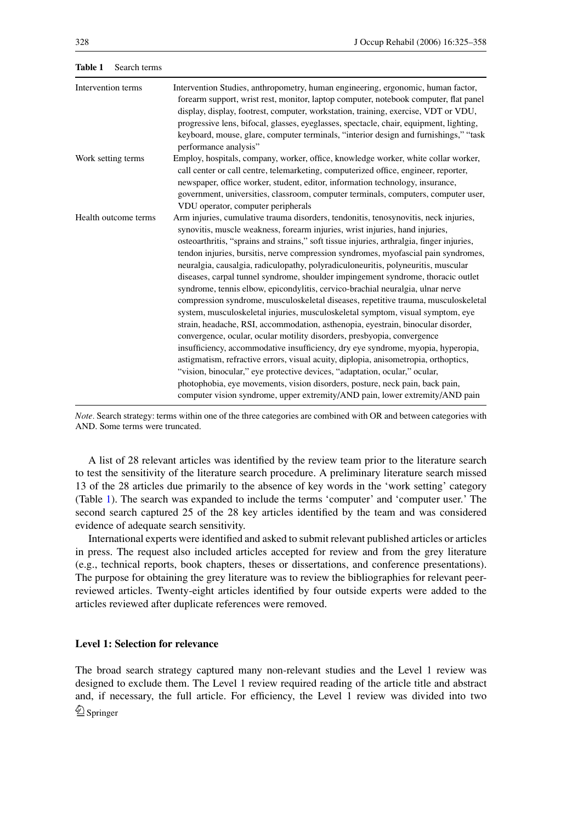<span id="page-3-0"></span>

| Intervention terms   | Intervention Studies, anthropometry, human engineering, ergonomic, human factor,<br>forearm support, wrist rest, monitor, laptop computer, notebook computer, flat panel<br>display, display, footrest, computer, workstation, training, exercise, VDT or VDU,<br>progressive lens, bifocal, glasses, eyeglasses, spectacle, chair, equipment, lighting,<br>keyboard, mouse, glare, computer terminals, "interior design and furnishings," "task<br>performance analysis"                                                                                                                                                                                                                                                                                                                                                                                                                                                                                                                                                                                                                                                                                                                                                                                                                                                                                                          |
|----------------------|------------------------------------------------------------------------------------------------------------------------------------------------------------------------------------------------------------------------------------------------------------------------------------------------------------------------------------------------------------------------------------------------------------------------------------------------------------------------------------------------------------------------------------------------------------------------------------------------------------------------------------------------------------------------------------------------------------------------------------------------------------------------------------------------------------------------------------------------------------------------------------------------------------------------------------------------------------------------------------------------------------------------------------------------------------------------------------------------------------------------------------------------------------------------------------------------------------------------------------------------------------------------------------------------------------------------------------------------------------------------------------|
| Work setting terms   | Employ, hospitals, company, worker, office, knowledge worker, white collar worker,<br>call center or call centre, telemarketing, computerized office, engineer, reporter,<br>newspaper, office worker, student, editor, information technology, insurance,<br>government, universities, classroom, computer terminals, computers, computer user,<br>VDU operator, computer peripherals                                                                                                                                                                                                                                                                                                                                                                                                                                                                                                                                                                                                                                                                                                                                                                                                                                                                                                                                                                                             |
| Health outcome terms | Arm injuries, cumulative trauma disorders, tendonitis, tenosynovitis, neck injuries,<br>synovitis, muscle weakness, forearm injuries, wrist injuries, hand injuries,<br>osteoarthritis, "sprains and strains," soft tissue injuries, arthralgia, finger injuries,<br>tendon injuries, bursitis, nerve compression syndromes, myofascial pain syndromes,<br>neuralgia, causalgia, radiculopathy, polyradiculoneuritis, polyneuritis, muscular<br>diseases, carpal tunnel syndrome, shoulder impingement syndrome, thoracic outlet<br>syndrome, tennis elbow, epicondylitis, cervico-brachial neuralgia, ulnar nerve<br>compression syndrome, musculoskeletal diseases, repetitive trauma, musculoskeletal<br>system, musculoskeletal injuries, musculoskeletal symptom, visual symptom, eye<br>strain, headache, RSI, accommodation, asthenopia, eyestrain, binocular disorder,<br>convergence, ocular, ocular motility disorders, presbyopia, convergence<br>insufficiency, accommodative insufficiency, dry eye syndrome, myopia, hyperopia,<br>astigmatism, refractive errors, visual acuity, diplopia, anisometropia, orthoptics,<br>"vision, binocular," eye protective devices, "adaptation, ocular," ocular,<br>photophobia, eye movements, vision disorders, posture, neck pain, back pain,<br>computer vision syndrome, upper extremity/AND pain, lower extremity/AND pain |

*Note.* Search strategy: terms within one of the three categories are combined with OR and between categories with AND. Some terms were truncated.

A list of 28 relevant articles was identified by the review team prior to the literature search to test the sensitivity of the literature search procedure. A preliminary literature search missed 13 of the 28 articles due primarily to the absence of key words in the 'work setting' category (Table [1\)](#page-3-0). The search was expanded to include the terms 'computer' and 'computer user.' The second search captured 25 of the 28 key articles identified by the team and was considered evidence of adequate search sensitivity.

International experts were identified and asked to submit relevant published articles or articles in press. The request also included articles accepted for review and from the grey literature (e.g., technical reports, book chapters, theses or dissertations, and conference presentations). The purpose for obtaining the grey literature was to review the bibliographies for relevant peerreviewed articles. Twenty-eight articles identified by four outside experts were added to the articles reviewed after duplicate references were removed.

## **Level 1: Selection for relevance**

The broad search strategy captured many non-relevant studies and the Level 1 review was designed to exclude them. The Level 1 review required reading of the article title and abstract and, if necessary, the full article. For efficiency, the Level 1 review was divided into two  $\mathcal{Q}_{\text{Springer}}$ 

**Table 1** Search terms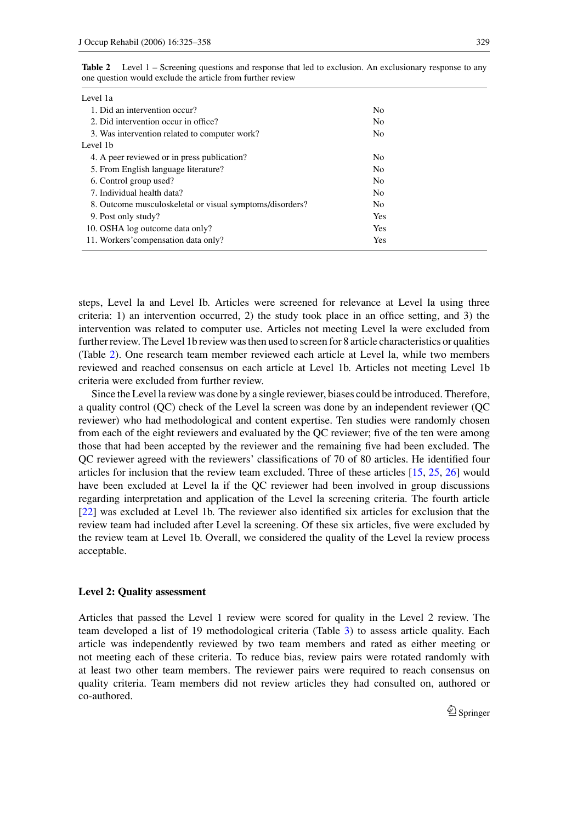| Level 1a                                                 |                |  |
|----------------------------------------------------------|----------------|--|
| 1. Did an intervention occur?                            | N <sub>0</sub> |  |
| 2. Did intervention occur in office?                     | No.            |  |
| 3. Was intervention related to computer work?            | No.            |  |
| Level 1 <sub>b</sub>                                     |                |  |
| 4. A peer reviewed or in press publication?              | N <sub>0</sub> |  |
| 5. From English language literature?                     | N <sub>0</sub> |  |
| 6. Control group used?                                   | N <sub>0</sub> |  |
| 7. Individual health data?                               | N <sub>0</sub> |  |
| 8. Outcome musculoskeletal or visual symptoms/disorders? | No.            |  |
| 9. Post only study?                                      | Yes            |  |
| 10. OSHA log outcome data only?                          | Yes            |  |
| 11. Workers' compensation data only?                     | Yes            |  |

<span id="page-4-0"></span>**Table 2** Level 1 – Screening questions and response that led to exclusion. An exclusionary response to any one question would exclude the article from further review

steps, Level la and Level Ib. Articles were screened for relevance at Level la using three criteria: 1) an intervention occurred, 2) the study took place in an office setting, and 3) the intervention was related to computer use. Articles not meeting Level la were excluded from further review. The Level 1b review was then used to screen for 8 article characteristics or qualities (Table [2\)](#page-4-0). One research team member reviewed each article at Level la, while two members reviewed and reached consensus on each article at Level 1b. Articles not meeting Level 1b criteria were excluded from further review.

Since the Level la review was done by a single reviewer, biases could be introduced. Therefore, a quality control (QC) check of the Level la screen was done by an independent reviewer (QC reviewer) who had methodological and content expertise. Ten studies were randomly chosen from each of the eight reviewers and evaluated by the QC reviewer; five of the ten were among those that had been accepted by the reviewer and the remaining five had been excluded. The QC reviewer agreed with the reviewers' classifications of 70 of 80 articles. He identified four articles for inclusion that the review team excluded. Three of these articles [\[15,](#page-32-7) [25,](#page-32-8) [26\]](#page-32-9) would have been excluded at Level la if the QC reviewer had been involved in group discussions regarding interpretation and application of the Level la screening criteria. The fourth article [\[22\]](#page-32-10) was excluded at Level 1b. The reviewer also identified six articles for exclusion that the review team had included after Level la screening. Of these six articles, five were excluded by the review team at Level 1b. Overall, we considered the quality of the Level la review process acceptable.

## **Level 2: Quality assessment**

Articles that passed the Level 1 review were scored for quality in the Level 2 review. The team developed a list of 19 methodological criteria (Table [3\)](#page-5-0) to assess article quality. Each article was independently reviewed by two team members and rated as either meeting or not meeting each of these criteria. To reduce bias, review pairs were rotated randomly with at least two other team members. The reviewer pairs were required to reach consensus on quality criteria. Team members did not review articles they had consulted on, authored or co-authored.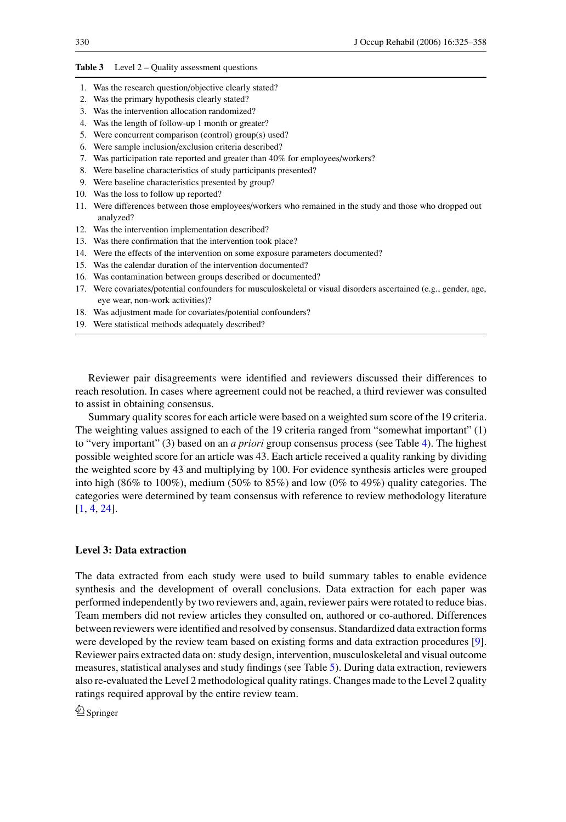#### <span id="page-5-0"></span>Table 3 Level 2 – Quality assessment questions

- 1. Was the research question/objective clearly stated?
- 2. Was the primary hypothesis clearly stated?
- 3. Was the intervention allocation randomized?
- 4. Was the length of follow-up 1 month or greater?
- 5. Were concurrent comparison (control) group(s) used?
- 6. Were sample inclusion/exclusion criteria described?
- 7. Was participation rate reported and greater than 40% for employees/workers?
- 8. Were baseline characteristics of study participants presented?
- 9. Were baseline characteristics presented by group?
- 10. Was the loss to follow up reported?
- 11. Were differences between those employees/workers who remained in the study and those who dropped out analyzed?
- 12. Was the intervention implementation described?
- 13. Was there confirmation that the intervention took place?
- 14. Were the effects of the intervention on some exposure parameters documented?
- 15. Was the calendar duration of the intervention documented?
- 16. Was contamination between groups described or documented?
- 17. Were covariates/potential confounders for musculoskeletal or visual disorders ascertained (e.g., gender, age, eye wear, non-work activities)?
- 18. Was adjustment made for covariates/potential confounders?
- 19. Were statistical methods adequately described?

Reviewer pair disagreements were identified and reviewers discussed their differences to reach resolution. In cases where agreement could not be reached, a third reviewer was consulted to assist in obtaining consensus.

Summary quality scores for each article were based on a weighted sum score of the 19 criteria. The weighting values assigned to each of the 19 criteria ranged from "somewhat important" (1) to "very important" (3) based on an *a priori* group consensus process (see Table [4\)](#page-6-0). The highest possible weighted score for an article was 43. Each article received a quality ranking by dividing the weighted score by 43 and multiplying by 100. For evidence synthesis articles were grouped into high (86% to 100%), medium (50% to 85%) and low (0% to 49%) quality categories. The categories were determined by team consensus with reference to review methodology literature [\[1,](#page-31-9) [4,](#page-31-8) [24\]](#page-32-6).

# **Level 3: Data extraction**

The data extracted from each study were used to build summary tables to enable evidence synthesis and the development of overall conclusions. Data extraction for each paper was performed independently by two reviewers and, again, reviewer pairs were rotated to reduce bias. Team members did not review articles they consulted on, authored or co-authored. Differences between reviewers were identified and resolved by consensus. Standardized data extraction forms were developed by the review team based on existing forms and data extraction procedures [\[9\]](#page-31-7). Reviewer pairs extracted data on: study design, intervention, musculoskeletal and visual outcome measures, statistical analyses and study findings (see Table [5\)](#page-8-0). During data extraction, reviewers also re-evaluated the Level 2 methodological quality ratings. Changes made to the Level 2 quality ratings required approval by the entire review team.

 $\mathcal{Q}_{\text{Springer}}$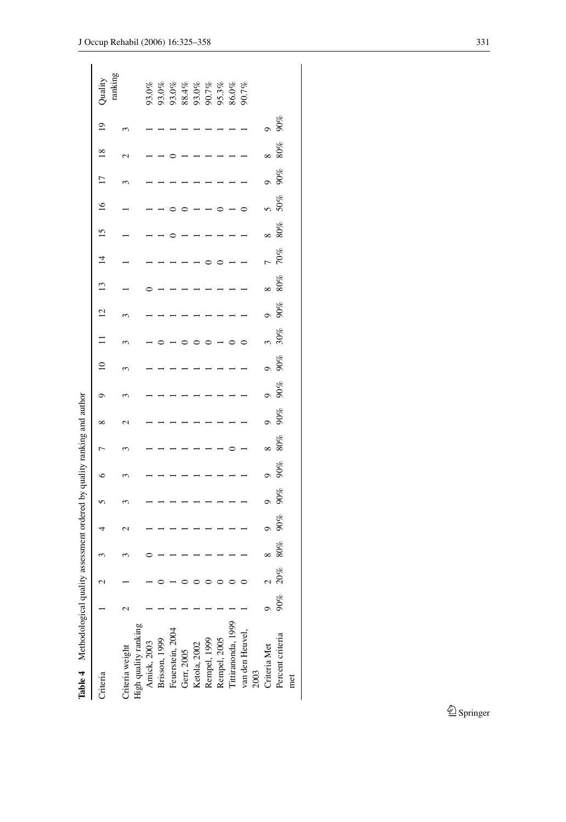| Table 4 Methodological quality a |     |     |                  | issessment ordered by quality ranking and author |                  |          |                                          |     |     |                 |     |                |          |                |     |                 |                 |                        |                 |                                                    |
|----------------------------------|-----|-----|------------------|--------------------------------------------------|------------------|----------|------------------------------------------|-----|-----|-----------------|-----|----------------|----------|----------------|-----|-----------------|-----------------|------------------------|-----------------|----------------------------------------------------|
| Criteria                         |     |     |                  | 4                                                | 5                | $\circ$  | 冖                                        | ∞   | o   | $\overline{10}$ | Ξ   | $\overline{c}$ | 13       | $\overline{1}$ | 15  | $\overline{16}$ | $\overline{17}$ | $\frac{8}{2}$          | $\overline{19}$ | ranking<br>Quality                                 |
| Criteria weight                  |     |     |                  |                                                  |                  |          |                                          |     |     |                 |     |                |          |                |     |                 |                 | $\mathbf{\mathcal{L}}$ | 3               |                                                    |
| High quality ranking             |     |     |                  |                                                  |                  |          |                                          |     |     |                 |     |                |          |                |     |                 |                 |                        |                 |                                                    |
| Amick, 2003                      |     |     |                  |                                                  |                  |          |                                          |     |     |                 |     |                |          |                |     |                 |                 |                        |                 | 93.0%                                              |
| Brisson, 1999                    |     |     |                  |                                                  |                  |          |                                          |     |     |                 |     |                |          |                |     |                 |                 |                        |                 | 93.0%                                              |
| Feuerstein, 2004                 |     |     |                  |                                                  |                  |          |                                          |     |     |                 |     |                |          |                |     |                 |                 |                        |                 |                                                    |
| Gerr, 2005                       |     |     |                  |                                                  |                  |          |                                          |     |     |                 |     |                |          |                |     |                 |                 |                        |                 |                                                    |
| Ketola, 2002                     |     |     |                  |                                                  |                  |          |                                          |     |     |                 |     |                |          |                |     |                 |                 |                        |                 | 93.0%<br>88.4%<br>93.0%<br>90.7%<br>96.0%<br>86.0% |
| Rempel, 1999                     |     |     |                  |                                                  |                  |          |                                          |     |     |                 |     |                |          |                |     |                 |                 |                        |                 |                                                    |
| Rempel, 2005                     |     |     |                  |                                                  |                  |          |                                          |     |     |                 |     |                |          |                |     |                 |                 |                        |                 |                                                    |
| Titiranonda, 1999                |     |     |                  |                                                  |                  |          |                                          |     |     |                 |     |                |          |                |     |                 |                 |                        |                 |                                                    |
| van den Heuvel,                  |     |     |                  |                                                  |                  |          |                                          |     |     |                 |     |                |          |                |     |                 |                 |                        |                 |                                                    |
| 2003                             |     |     |                  |                                                  |                  |          |                                          |     |     |                 |     |                |          |                |     |                 |                 |                        |                 |                                                    |
| Criteria Met                     |     |     |                  |                                                  |                  |          | $\begin{array}{c} 8 \\ 80\% \end{array}$ | 90% |     |                 |     |                | 8<br>80% |                |     |                 |                 |                        | 9<br>90%        |                                                    |
| Percent criteria                 | 90% | 20% | $\frac{8}{80\%}$ | 9<br>90%                                         | $\frac{8}{90\%}$ | 9<br>90% |                                          |     | 90% | 90%             | 30% | 9<br>90%       |          | 7<br>70%       | 80% | 50%             | 90%             | 80%                    |                 |                                                    |
| met                              |     |     |                  |                                                  |                  |          |                                          |     |     |                 |     |                |          |                |     |                 |                 |                        |                 |                                                    |
|                                  |     |     |                  |                                                  |                  |          |                                          |     |     |                 |     |                |          |                |     |                 |                 |                        |                 |                                                    |

<span id="page-6-0"></span>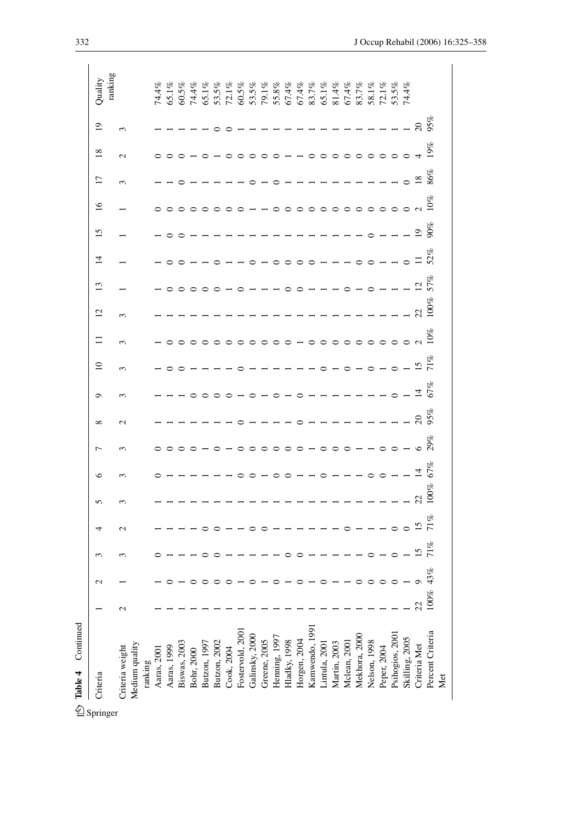| Table 4 Continued         |                 |          |     |        |                |                 |     |          |                            |            |                |                          |                |                 |                 |          |                 |                 |                      |
|---------------------------|-----------------|----------|-----|--------|----------------|-----------------|-----|----------|----------------------------|------------|----------------|--------------------------|----------------|-----------------|-----------------|----------|-----------------|-----------------|----------------------|
| Criteria                  |                 | 2        | 3   | ↤      | $\sqrt{ }$     | $\circ$         |     | $\infty$ | $\overline{10}$<br>$\circ$ | Ξ          | 2              | 13                       | $\overline{4}$ | $\overline{15}$ | $\overline{16}$ | $\Box$   | $\overline{18}$ | $\overline{19}$ | ranking<br>Quality   |
| Criteria weight           | $\mathbf{\sim}$ |          |     | $\sim$ |                |                 |     | $\sim$   |                            | $\sim$     | $\tilde{ }$    |                          |                |                 |                 | $\sim$   | $\sim$          | $\sim$          |                      |
| Medium quality<br>ranking |                 |          |     |        |                |                 |     |          |                            |            |                |                          |                |                 |                 |          |                 |                 |                      |
|                           |                 |          |     |        |                |                 |     |          |                            |            |                |                          |                |                 |                 |          |                 |                 |                      |
| Aaras, 200                |                 |          |     |        |                |                 |     |          |                            |            |                |                          |                |                 |                 |          |                 |                 | 74.4%<br>65.1%       |
| Aaras, 1999               |                 |          |     |        |                |                 |     |          |                            |            |                |                          |                |                 |                 |          |                 |                 |                      |
| Biswas, 2003              |                 |          |     |        |                |                 |     |          |                            |            |                |                          |                |                 |                 |          |                 |                 | 60.5%                |
| Bohr, 2000                |                 |          |     |        |                |                 |     |          |                            |            |                |                          |                |                 |                 |          |                 |                 | 74.4%                |
| Butzon, 1997              |                 |          |     |        |                |                 |     |          |                            |            |                |                          |                |                 |                 |          |                 |                 | 65.1%                |
| Butzon, 2002              |                 |          |     |        |                |                 |     |          |                            |            |                |                          |                |                 |                 |          |                 |                 | 53.5%                |
| Cook, 2004                |                 |          |     |        |                |                 |     |          |                            |            |                |                          |                |                 |                 |          |                 |                 | $72.1\%$             |
| Fostervold, 2001          |                 |          |     |        |                |                 |     |          |                            |            |                |                          |                |                 |                 |          |                 |                 | 60.5%                |
| Galinsky, 2000            |                 |          |     |        |                |                 |     |          |                            |            |                |                          |                |                 |                 |          |                 |                 | 53.5%                |
| Greene, 2005              |                 |          |     |        |                |                 |     |          |                            |            |                |                          |                |                 |                 |          |                 |                 | 79.1%                |
| Henning, 1997             |                 |          |     |        |                |                 |     |          |                            |            |                |                          | $\circ$        |                 |                 |          |                 |                 | 55.8%                |
| Hladky, 1998              |                 |          |     |        |                |                 |     |          |                            |            |                |                          | $\bigcap$      |                 |                 |          |                 |                 | $67.4\%$<br>$67.4\%$ |
| Horgen, 2004              |                 |          |     |        |                |                 |     |          |                            |            |                |                          | $\bigcap$      |                 |                 |          |                 |                 |                      |
| Kamwendo, 1991            |                 |          |     |        |                |                 |     |          |                            |            |                |                          |                |                 |                 |          |                 |                 | 83.7%                |
| Lintula, 2001             |                 |          |     |        |                |                 |     |          |                            |            |                |                          |                |                 |                 |          |                 |                 | 65.1%                |
| Martin, 2003              |                 |          |     |        |                |                 |     |          |                            | $\circ$    |                |                          |                |                 |                 |          | $\circ$         |                 | 81.4%                |
| Mclean, 2001              |                 |          |     |        |                |                 |     |          |                            | $\circ$    |                |                          |                |                 | $\circ$         |          | $\circ$         |                 | 67.4%                |
| Mekhora, 2000             |                 |          |     |        |                |                 |     |          |                            | $\circ$    |                |                          |                |                 | $\circ$         |          | $\circ$         |                 | 83.7%                |
| Nelson, 1998              |                 |          |     |        |                | $\circ$ $\circ$ |     |          |                            |            |                |                          |                |                 |                 |          | $\circ$         |                 | 58.1%                |
| Peper, 2004               |                 |          |     |        |                |                 |     |          |                            |            |                |                          |                |                 |                 |          |                 |                 | 72.1%                |
| Psihogios, 2001           |                 |          |     |        |                |                 |     |          |                            |            |                |                          |                |                 |                 |          |                 |                 | 53.5%                |
| Skilling, 2005            |                 |          |     |        |                |                 |     |          |                            |            |                |                          |                |                 |                 |          |                 |                 | 74.4%                |
| Criteria Met              | 22              |          | 5   | S      | $\overline{c}$ | $\overline{4}$  |     |          | 보                          | Ν,         | $\overline{c}$ | $\overline{\mathcal{L}}$ |                | $\circ$         |                 | $\infty$ |                 | $\overline{5}$  |                      |
| Percent Criteria          |                 | 100% 43% | 71% | 71%    | 100%           | 67%             | 29% | 95%      | 67%                        | 10%<br>71% |                | 57%<br>100%              | 52%            | 90%             | $0\%$           | 86%      | 19%             | 95%             |                      |
| Met                       |                 |          |     |        |                |                 |     |          |                            |            |                |                          |                |                 |                 |          |                 |                 |                      |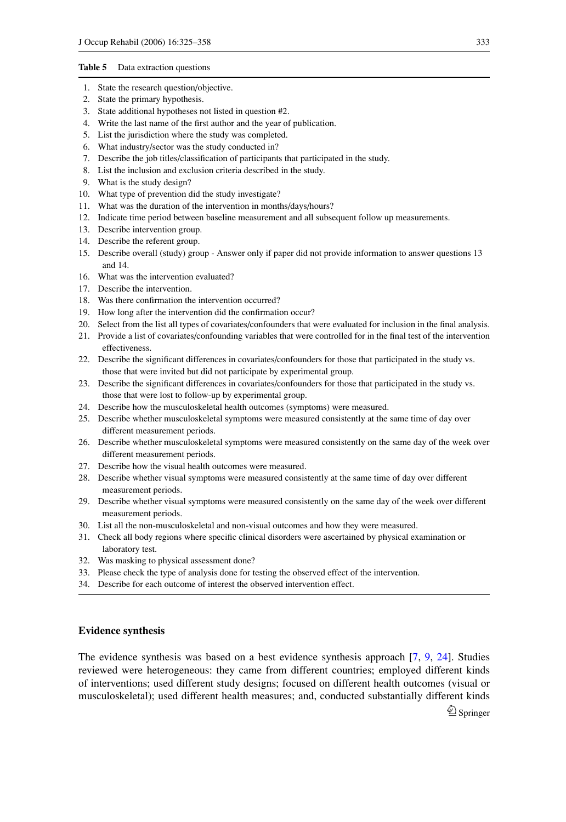### <span id="page-8-0"></span>**Table 5** Data extraction questions

- 1. State the research question/objective.
- 2. State the primary hypothesis.
- 3. State additional hypotheses not listed in question #2.
- 4. Write the last name of the first author and the year of publication.
- 5. List the jurisdiction where the study was completed.
- 6. What industry/sector was the study conducted in?
- 7. Describe the job titles/classification of participants that participated in the study.
- 8. List the inclusion and exclusion criteria described in the study.
- 9. What is the study design?
- 10. What type of prevention did the study investigate?
- 11. What was the duration of the intervention in months/days/hours?
- 12. Indicate time period between baseline measurement and all subsequent follow up measurements.
- 13. Describe intervention group.
- 14. Describe the referent group.
- 15. Describe overall (study) group Answer only if paper did not provide information to answer questions 13 and 14.
- 16. What was the intervention evaluated?
- 17. Describe the intervention.
- 18. Was there confirmation the intervention occurred?
- 19. How long after the intervention did the confirmation occur?
- 20. Select from the list all types of covariates/confounders that were evaluated for inclusion in the final analysis.
- 21. Provide a list of covariates/confounding variables that were controlled for in the final test of the intervention effectiveness.
- 22. Describe the significant differences in covariates/confounders for those that participated in the study vs. those that were invited but did not participate by experimental group.
- 23. Describe the significant differences in covariates/confounders for those that participated in the study vs. those that were lost to follow-up by experimental group.
- 24. Describe how the musculoskeletal health outcomes (symptoms) were measured.
- 25. Describe whether musculoskeletal symptoms were measured consistently at the same time of day over different measurement periods.
- 26. Describe whether musculoskeletal symptoms were measured consistently on the same day of the week over different measurement periods.
- 27. Describe how the visual health outcomes were measured.
- 28. Describe whether visual symptoms were measured consistently at the same time of day over different measurement periods.
- 29. Describe whether visual symptoms were measured consistently on the same day of the week over different measurement periods.
- 30. List all the non-musculoskeletal and non-visual outcomes and how they were measured.
- 31. Check all body regions where specific clinical disorders were ascertained by physical examination or laboratory test.
- 32. Was masking to physical assessment done?
- 33. Please check the type of analysis done for testing the observed effect of the intervention.
- 34. Describe for each outcome of interest the observed intervention effect.

## **Evidence synthesis**

The evidence synthesis was based on a best evidence synthesis approach [\[7,](#page-31-6) [9,](#page-31-7) [24\]](#page-32-6). Studies reviewed were heterogeneous: they came from different countries; employed different kinds of interventions; used different study designs; focused on different health outcomes (visual or musculoskeletal); used different health measures; and, conducted substantially different kinds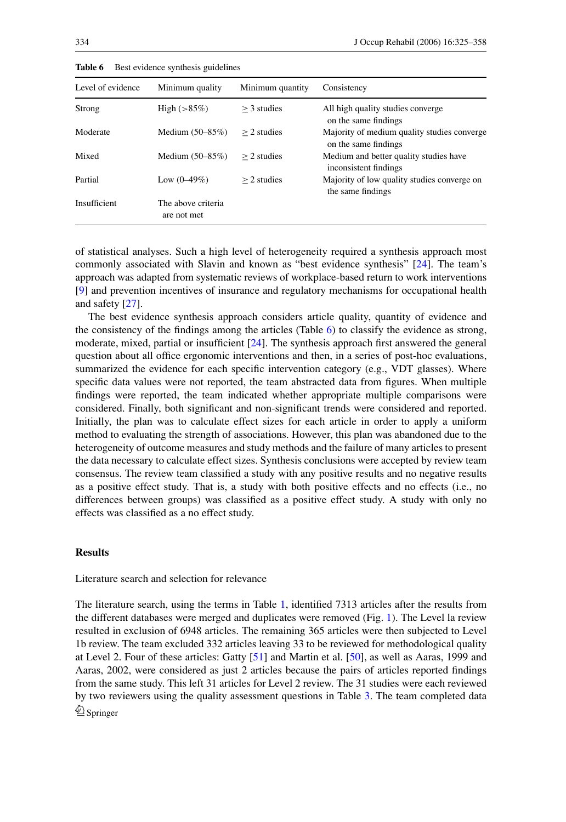<span id="page-9-0"></span>

| Level of evidence | Minimum quality                   | Minimum quantity | Consistency                                                          |
|-------------------|-----------------------------------|------------------|----------------------------------------------------------------------|
| Strong            | High $(>85\%)$                    | $>$ 3 studies    | All high quality studies converge<br>on the same findings            |
| Moderate          | Medium $(50 - 85\%)$              | $>$ 2 studies    | Majority of medium quality studies converge.<br>on the same findings |
| Mixed             | Medium $(50 - 85\%)$              | $>$ 2 studies    | Medium and better quality studies have<br>inconsistent findings      |
| Partial           | Low $(0-49\%)$                    | $>$ 2 studies    | Majority of low quality studies converge on<br>the same findings     |
| Insufficient      | The above criteria<br>are not met |                  |                                                                      |

Table 6 Best evidence synthesis guidelines

of statistical analyses. Such a high level of heterogeneity required a synthesis approach most commonly associated with Slavin and known as "best evidence synthesis" [\[24\]](#page-32-6). The team's approach was adapted from systematic reviews of workplace-based return to work interventions [\[9\]](#page-31-7) and prevention incentives of insurance and regulatory mechanisms for occupational health and safety [\[27\]](#page-32-11).

The best evidence synthesis approach considers article quality, quantity of evidence and the consistency of the findings among the articles (Table [6\)](#page-9-0) to classify the evidence as strong, moderate, mixed, partial or insufficient [\[24\]](#page-32-6). The synthesis approach first answered the general question about all office ergonomic interventions and then, in a series of post-hoc evaluations, summarized the evidence for each specific intervention category (e.g., VDT glasses). Where specific data values were not reported, the team abstracted data from figures. When multiple findings were reported, the team indicated whether appropriate multiple comparisons were considered. Finally, both significant and non-significant trends were considered and reported. Initially, the plan was to calculate effect sizes for each article in order to apply a uniform method to evaluating the strength of associations. However, this plan was abandoned due to the heterogeneity of outcome measures and study methods and the failure of many articles to present the data necessary to calculate effect sizes. Synthesis conclusions were accepted by review team consensus. The review team classified a study with any positive results and no negative results as a positive effect study. That is, a study with both positive effects and no effects (i.e., no differences between groups) was classified as a positive effect study. A study with only no effects was classified as a no effect study.

# **Results**

Literature search and selection for relevance

The literature search, using the terms in Table [1,](#page-3-0) identified 7313 articles after the results from the different databases were merged and duplicates were removed (Fig. [1\)](#page-10-0). The Level la review resulted in exclusion of 6948 articles. The remaining 365 articles were then subjected to Level 1b review. The team excluded 332 articles leaving 33 to be reviewed for methodological quality at Level 2. Four of these articles: Gatty [\[51\]](#page-33-0) and Martin et al. [\[50\]](#page-33-1), as well as Aaras, 1999 and Aaras, 2002, were considered as just 2 articles because the pairs of articles reported findings from the same study. This left 31 articles for Level 2 review. The 31 studies were each reviewed by two reviewers using the quality assessment questions in Table [3.](#page-5-0) The team completed data  $\mathcal{Q}_{\text{Springer}}$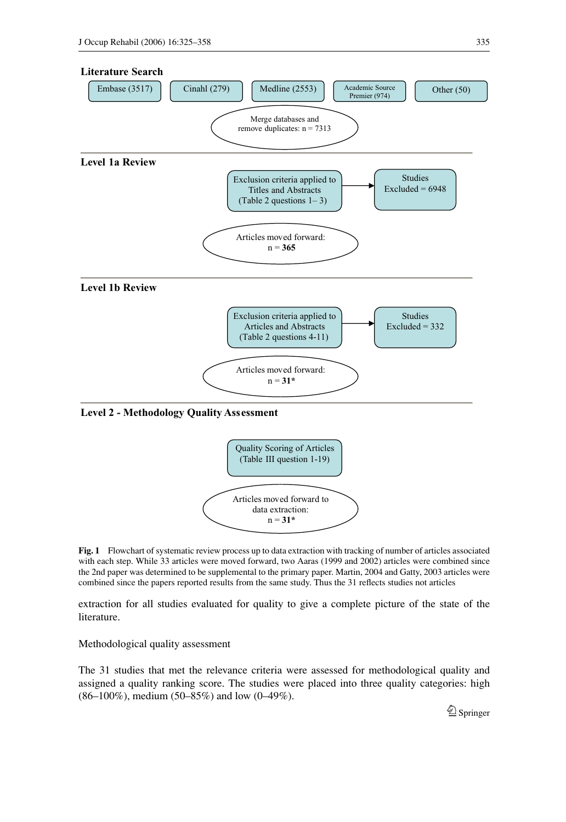<span id="page-10-0"></span>

**Level 2 - Methodology Quality Assessment** 



**Fig. 1** Flowchart of systematic review process up to data extraction with tracking of number of articles associated with each step. While 33 articles were moved forward, two Aaras (1999 and 2002) articles were combined since the 2nd paper was determined to be supplemental to the primary paper. Martin, 2004 and Gatty, 2003 articles were combined since the papers reported results from the same study. Thus the 31 reflects studies not articles

extraction for all studies evaluated for quality to give a complete picture of the state of the literature.

Methodological quality assessment

The 31 studies that met the relevance criteria were assessed for methodological quality and assigned a quality ranking score. The studies were placed into three quality categories: high (86–100%), medium (50–85%) and low (0–49%).

 $\mathcal{Q}_{\text{Springer}}$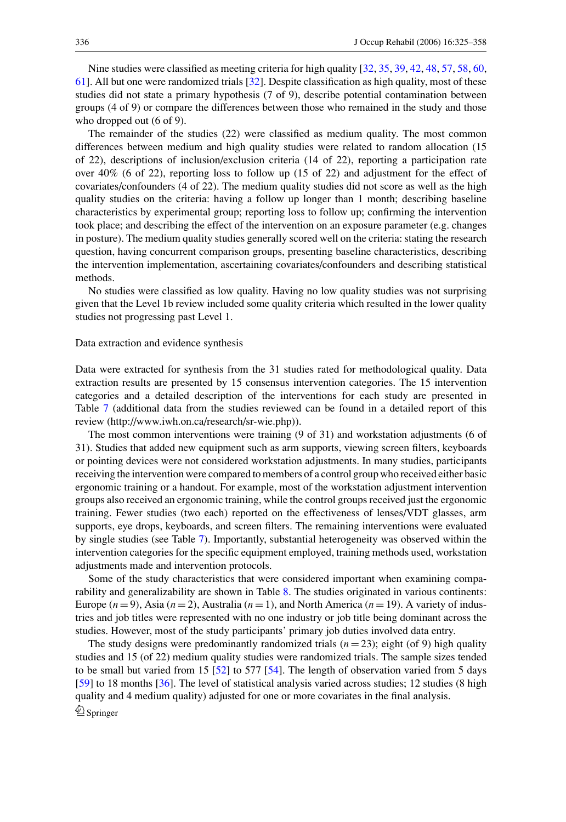Nine studies were classified as meeting criteria for high quality [\[32,](#page-32-12) [35,](#page-32-13) [39,](#page-32-14) [42,](#page-33-2) [48,](#page-33-3) [57,](#page-33-4) [58,](#page-33-5) [60,](#page-33-6) [61\]](#page-33-7). All but one were randomized trials [\[32\]](#page-32-12). Despite classification as high quality, most of these studies did not state a primary hypothesis (7 of 9), describe potential contamination between groups (4 of 9) or compare the differences between those who remained in the study and those who dropped out (6 of 9).

The remainder of the studies (22) were classified as medium quality. The most common differences between medium and high quality studies were related to random allocation (15 of 22), descriptions of inclusion/exclusion criteria (14 of 22), reporting a participation rate over 40% (6 of 22), reporting loss to follow up (15 of 22) and adjustment for the effect of covariates/confounders (4 of 22). The medium quality studies did not score as well as the high quality studies on the criteria: having a follow up longer than 1 month; describing baseline characteristics by experimental group; reporting loss to follow up; confirming the intervention took place; and describing the effect of the intervention on an exposure parameter (e.g. changes in posture). The medium quality studies generally scored well on the criteria: stating the research question, having concurrent comparison groups, presenting baseline characteristics, describing the intervention implementation, ascertaining covariates/confounders and describing statistical methods.

No studies were classified as low quality. Having no low quality studies was not surprising given that the Level 1b review included some quality criteria which resulted in the lower quality studies not progressing past Level 1.

## Data extraction and evidence synthesis

Data were extracted for synthesis from the 31 studies rated for methodological quality. Data extraction results are presented by 15 consensus intervention categories. The 15 intervention categories and a detailed description of the interventions for each study are presented in Table [7](#page-12-0) (additional data from the studies reviewed can be found in a detailed report of this review (http://www.iwh.on.ca/research/sr-wie.php)).

The most common interventions were training (9 of 31) and workstation adjustments (6 of 31). Studies that added new equipment such as arm supports, viewing screen filters, keyboards or pointing devices were not considered workstation adjustments. In many studies, participants receiving the intervention were compared to members of a control group who received either basic ergonomic training or a handout. For example, most of the workstation adjustment intervention groups also received an ergonomic training, while the control groups received just the ergonomic training. Fewer studies (two each) reported on the effectiveness of lenses/VDT glasses, arm supports, eye drops, keyboards, and screen filters. The remaining interventions were evaluated by single studies (see Table [7\)](#page-12-0). Importantly, substantial heterogeneity was observed within the intervention categories for the specific equipment employed, training methods used, workstation adjustments made and intervention protocols.

Some of the study characteristics that were considered important when examining comparability and generalizability are shown in Table [8.](#page-17-0) The studies originated in various continents: Europe  $(n = 9)$ , Asia  $(n = 2)$ , Australia  $(n = 1)$ , and North America  $(n = 19)$ . A variety of industries and job titles were represented with no one industry or job title being dominant across the studies. However, most of the study participants' primary job duties involved data entry.

The study designs were predominantly randomized trials  $(n = 23)$ ; eight (of 9) high quality studies and 15 (of 22) medium quality studies were randomized trials. The sample sizes tended to be small but varied from 15 [\[52\]](#page-33-8) to 577 [\[54\]](#page-33-9). The length of observation varied from 5 days [\[59\]](#page-33-10) to 18 months [\[36\]](#page-32-15). The level of statistical analysis varied across studies; 12 studies (8 high quality and 4 medium quality) adjusted for one or more covariates in the final analysis.  $\mathcal{Q}$  Springer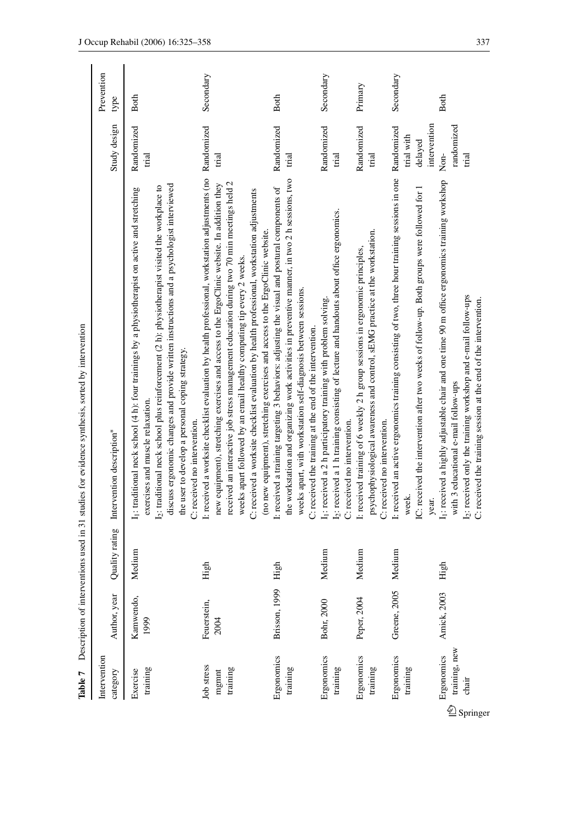<span id="page-12-0"></span>

| Table 7                                |                     |                       | Description of interventions used in 31 studies for evidence synthesis, sorted by intervention                                                                                                                                                                                                                                                                                                                                                                                                                                                        |                                       |                    |
|----------------------------------------|---------------------|-----------------------|-------------------------------------------------------------------------------------------------------------------------------------------------------------------------------------------------------------------------------------------------------------------------------------------------------------------------------------------------------------------------------------------------------------------------------------------------------------------------------------------------------------------------------------------------------|---------------------------------------|--------------------|
| Intervention<br>category               | Author, year        | <b>Ouality rating</b> | Intervention description*                                                                                                                                                                                                                                                                                                                                                                                                                                                                                                                             | Study design                          | Prevention<br>type |
| training<br>Exercise                   | Kamwendo,<br>1999   | Medium                | discuss ergonomic changes and provide written instructions and a psychologist interviewed<br>$L_2$ : traditional neck school plus reinforcement $(2 h)$ : physiotherapist visited the workplace to<br>I <sub>1</sub> : traditional neck school (4 h): four trainings by a physiotherapist on active and stretching<br>the user to develop a personal coping strategy.<br>exercises and muscle relaxation.<br>C: received no intervention.                                                                                                             | Randomized<br>trial                   | <b>Both</b>        |
| <b>Job</b> stress<br>training<br>mgmnt | Feuerstein,<br>2004 | High                  | I: received a worksite checklist evaluation by health professional, workstation adjustments (no<br>received an interactive job stress management education during two 70 min meetings held 2<br>new equipment), stretching exercises and access to the ErgoClinic website. In addition they<br>C: received a worksite checklist evaluation by health professional, workstation adjustments<br>(no new equipment), stretching exercises and access to the ErgoClinic website.<br>weeks apart followed by an email healthy computing tip every 2 weeks. | Randomized<br>trial                   | Secondary          |
| Ergonomics<br>training                 | Brisson, 1999       | High                  | the workstation and organizing work activities in preventive manner, in two 2 h sessions, two<br>I: received a training targeting 3 behaviors: adjusting the visual and postural components of<br>weeks apart, with workstation self-diagnosis between sessions.<br>C: received the training at the end of the intervention.                                                                                                                                                                                                                          | Randomized<br>trial                   | <b>Both</b>        |
| Ergonomics<br>training                 | Bohr, 2000          | Medium                | I2: received a 1 h training consisting of lecture and handouts about office ergonomics.<br>I <sub>1</sub> : received a 2 h participatory training with problem solving.<br>C: received no intervention.                                                                                                                                                                                                                                                                                                                                               | Randomized<br>trial                   | Secondary          |
| Ergonomics<br>training                 | Peper, 2004         | Medium                | psychophysiological awareness and control, sEMG practice at the workstation.<br>I: received training of 6 weekly 2 h group sessions in ergonomic principles,<br>C: received no intervention.                                                                                                                                                                                                                                                                                                                                                          | Randomized<br>trial                   | Primary            |
| Ergonomics<br>training                 | Greene, 2005        | Medium                | I: received an active ergonomics training consisting of two, three hour training sessions in one Randomized<br>IC: received the intervention after two weeks of follow-up. Both groups were followed for 1<br>week.<br>year.                                                                                                                                                                                                                                                                                                                          | intervention<br>trial with<br>delayed | Secondary          |
| training, new<br>Ergonomics<br>chair   | Amick, 2003         | High                  | I <sub>1</sub> : received a highly adjustable chair and one time 90 m office ergonomics training workshop<br>I2: received only the training workshop and e-mail follow-ups<br>C: received the training session at the end of the intervention.<br>with 3 educational e-mail follow-ups                                                                                                                                                                                                                                                                | randomized<br>Non-<br>Ξ               | Both               |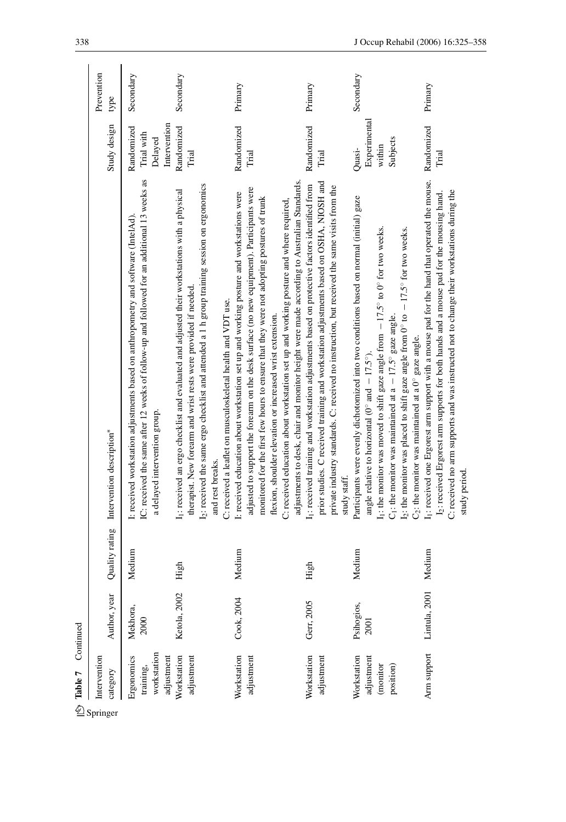| ഉ        | Table 7                                              | Continued          |                |                                                                                                                                                                                                                                                                                                                                                                                                                                                                                                                                         |                                                     |                    |
|----------|------------------------------------------------------|--------------------|----------------|-----------------------------------------------------------------------------------------------------------------------------------------------------------------------------------------------------------------------------------------------------------------------------------------------------------------------------------------------------------------------------------------------------------------------------------------------------------------------------------------------------------------------------------------|-----------------------------------------------------|--------------------|
| Springer | Intervention<br>category                             | Author, year       | Quality rating | Intervention description*                                                                                                                                                                                                                                                                                                                                                                                                                                                                                                               | Study design                                        | Prevention<br>type |
|          | workstation<br>Ergonomics<br>adjustment<br>training, | Mekhora,<br>2000   | Medium         | IC: received the same after 12 weeks of follow-up and followed for an additional 13 weeks as<br>I: received workstation adjustments based on anthropometry and software (IntelAd)<br>a delayed intervention group.                                                                                                                                                                                                                                                                                                                      | Intervention<br>Randomized<br>Trial with<br>Delayed | Secondary          |
|          | Workstation<br>adjustment                            | Ketola, 2002       | High           | I2: received the same ergo checklist and attended a 1 h group training session on ergonomics<br>I <sub>1</sub> : received an ergo checklist and evaluated and adjusted their workstations with a physical<br>therapist. New forearm and wrist rests were provided if needed<br>C: received a leaflet on musculoskeletal health and VDT use.<br>and rest breaks.                                                                                                                                                                         | Randomized<br>Trial                                 | Secondary          |
|          | Workstation<br>adjustment                            | Cook, 2004         | Medium         | adjustments to desk, chair and monitor height were made according to Australian Standards.<br>adjusted to support the forearm on the desk surface (no new equipment). Participants were<br>I: received education about workstation set up and working posture and workstations were<br>monitored for the first few hours to ensure that they were not adopting postures of trunk<br>C: received education about workstation set up and working posture and where required,<br>flexion, shoulder elevation or increased wrist extension. | Randomized<br>Trial                                 | Primary            |
|          | Workstation<br>adjustment                            | Gerr, 2005         | figh           | prior studies. C received training and workstation adjustments based on OSHA, NIOSH and<br>I <sub>1</sub> : received training and workstation adjustments based on protective factors identified from<br>private industry standards. C: received no instruction, but received the same visits from the<br>study staff.                                                                                                                                                                                                                  | Randomized<br>Trial                                 | Primary            |
|          | Workstation<br>adjustment<br>position)<br>(monitor   | Psihogios,<br>2001 | Medium         | Participants were evenly dichotomized into two conditions based on normal (initial) gaze<br>I <sub>1</sub> : the monitor was moved to shift gaze angle from $-17.5^{\circ}$ to 0° for two weeks.<br>$I_2$ : the monitor was placed to shift gaze angle from $0^\circ$ to $-17.5^\circ$ for two weeks.<br>C <sub>1</sub> : the monitor was maintained at a $-17.5^{\circ}$ gaze angle.<br>$C_2$ : the monitor was maintained at a $0^\circ$ gaze angle.<br>angle relative to horizontal ( $0^{\circ}$ and $-17.5^{\circ}$ ).             | Experimental<br>Subjects<br>within<br>Quasi-        | Secondary          |
|          | Arm support                                          | Lintula, 2001      | Medium         | I <sub>1</sub> : received one Ergorest arm support with a mouse pad for the hand that operated the mouse.<br>C: received no arm supports and was instructed not to change their workstations during the<br>$I_2$ : received Ergorest arm supports for both hands and a mouse pad for the mousing hand.<br>study period                                                                                                                                                                                                                  | Randomized<br>Trial                                 | Primary            |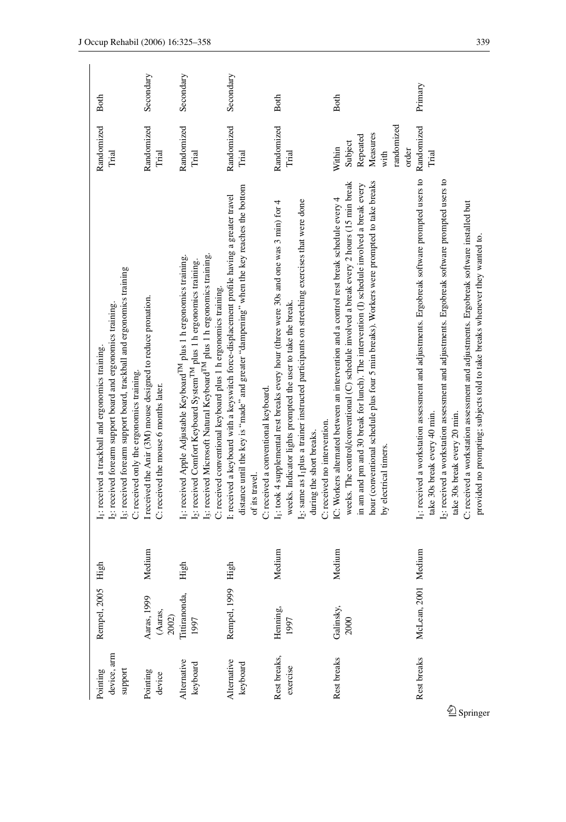| device, arm<br>Pointing<br>support    | Rempel, 2005                 | 문<br>Ë | I3: received forearm support board, trackball and ergonomics training<br>I <sub>2</sub> : received forearm support board and ergonomics training.<br>I <sub>1</sub> : received a trackball and ergonomics training.<br>C: received only the ergonomics training.                                                                                                                                                                                      | Randomized<br>Trial                                                      | <b>Both</b> |
|---------------------------------------|------------------------------|--------|-------------------------------------------------------------------------------------------------------------------------------------------------------------------------------------------------------------------------------------------------------------------------------------------------------------------------------------------------------------------------------------------------------------------------------------------------------|--------------------------------------------------------------------------|-------------|
| Pointing<br>device                    | Aaras, 1999<br>(Aaras, 2002) | Medium | I received the Anir (3M) mouse designed to reduce pronation.<br>C: received the mouse 6 months later.                                                                                                                                                                                                                                                                                                                                                 | Randomized<br>Trial                                                      | Secondary   |
| Alternative<br>keyboard               | Tittiranonda,<br>1997        | 吕<br>Ë | I3: received Microsoft Natural Keyboard <sup>TM</sup> plus 1 h ergonomics training.<br>I <sub>1</sub> : received Apple Adjustable Keyboard <sup>TM</sup> plus 1 h ergonomics training.<br>I2: received Comfort Keyboard System <sup>TM</sup> plus 1 h ergonomics training.<br>C: received conventional keyboard plus 1 h ergonomics training.                                                                                                         | Randomized<br>Trial                                                      | Secondary   |
| Alternative<br>keyboard               | Rempel, 1999                 | 문<br>Ë | distance until the key is "made" and greater "dampening" when the key reaches the bottom<br>I: received a keyboard with a keyswitch force-displacement profile having a greater travel<br>C: received a conventional keyboard.<br>of its travel.                                                                                                                                                                                                      | Randomized<br>Trial                                                      | Secondary   |
| Rest breaks,<br>exercise              | Henning,<br>1997             | Medium | I2: same as I1plus a trainer instructed participants on stretching exercises that were done<br>I <sub>1</sub> : took 4 supplemental rest breaks every hour (three were 30s and one was 3 min) for 4<br>weeks. Indicator lights prompted the user to take the break.<br>C: received no intervention.<br>during the short breaks.                                                                                                                       | Randomized<br>Trial                                                      | <b>Both</b> |
| Rest breaks                           | Galinsky,<br>2000            | Medium | weeks. The control/conventional (C) schedule involved a break every 2 hours (15 min break<br>hour (conventional schedule plus four 5 min breaks). Workers were prompted to take breaks<br>in am and pm and 30 break for lunch). The intervention (I) schedule involved a break every<br>IC: Workers alternated between an intervention and a control rest break schedule every 4<br>by electrical timers.                                             | randomized<br>Measures<br>Repeated<br>Subject<br>Within<br>order<br>with | <b>Both</b> |
| Rest breaks<br>$\mathcal{D}$ Springer | McLean, 2001 Medium          |        | I <sub>1</sub> : received a workstation assessment and adjustments. Ergobreak software prompted users to<br>$I_2$ : received a workstation assessment and adjustments. Ergobreak software prompted users to<br>C: received a workstation assessment and adjustments. Ergobreak software installed but<br>provided no prompting; subjects told to take breaks whenever they wanted to.<br>take 30s break every 40 min.<br>take 30s break every 20 min. | Randomized<br><b>Trial</b>                                               | Primary     |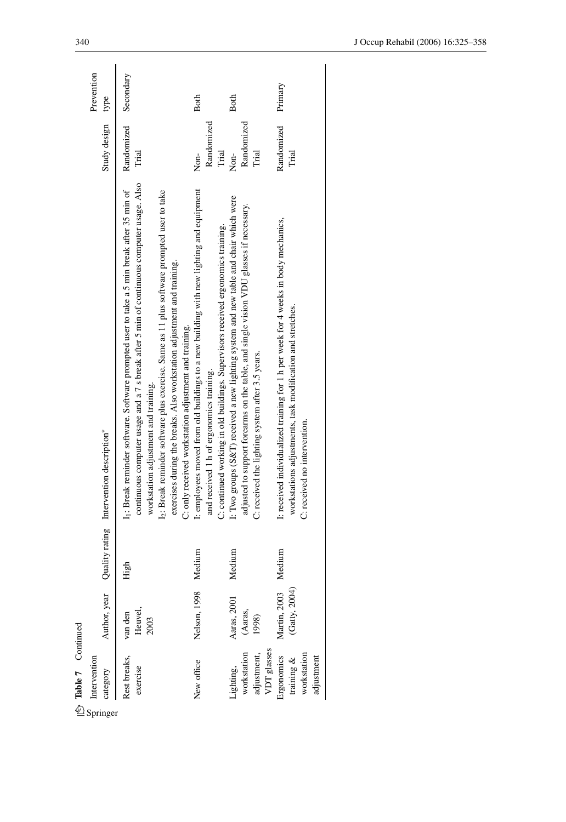| Table 7 Continued                                        |                                 |        |                                                                                                                                                                                                                                                                                                                                                                                                                                                                       |                               |                    |
|----------------------------------------------------------|---------------------------------|--------|-----------------------------------------------------------------------------------------------------------------------------------------------------------------------------------------------------------------------------------------------------------------------------------------------------------------------------------------------------------------------------------------------------------------------------------------------------------------------|-------------------------------|--------------------|
| Intervention<br>category                                 | Author, year                    |        | Quality rating Intervention description*                                                                                                                                                                                                                                                                                                                                                                                                                              | Study design                  | Prevention<br>type |
| Rest breaks,<br>exercise                                 | Heuvel,<br>van den<br>2003      | Ligh   | continuous computer usage and a 7 s break after 5 min of continuous computer usage. Also<br>$I_1$ : Break reminder software. Software prompted user to take a 5 min break after 35 min of<br>$I_2$ : Break reminder software plus exercise. Same as 11 plus software prompted user to take<br>exercises during the breaks. Also workstation adjustment and training.<br>C: only received workstation adjustment and training.<br>workstation adjustment and training. | Randomized<br>Trial           | Secondary          |
| New office                                               | Nelson, 1998 M                  | ledium | I: employees moved from old buildings to a new building with new lighting and equipment<br>C: continued working in old buildings. Supervisors received ergonomics training.<br>and received 1 h of ergonomics training.                                                                                                                                                                                                                                               | Randomized<br>Trial<br>Non-   | <b>Both</b>        |
| adjustment,<br>VDT glasses<br>workstation<br>ighting,    | Aaras, 2001<br>(Aaras,<br>1998) | ledium | I: Two groups (S&T) received a new lighting system and new table and chair which were<br>adjusted to support forearms on the table, and single vision VDU glasses if necessary.<br>C: received the lighting system after 3.5 years.                                                                                                                                                                                                                                   | Randomized<br>Trial<br>$Non-$ | <b>Both</b>        |
| workstation<br>Ergonomics<br>training $\&$<br>adjustment | (Gatty, 2004)<br>Martin, 2003   | ledium | I: received individualized training for 1 h per week for 4 weeks in body mechanics,<br>workstations adjustments, task modification and stretches.<br>C: received no intervention.                                                                                                                                                                                                                                                                                     | Randomized<br>Trial           | Primary            |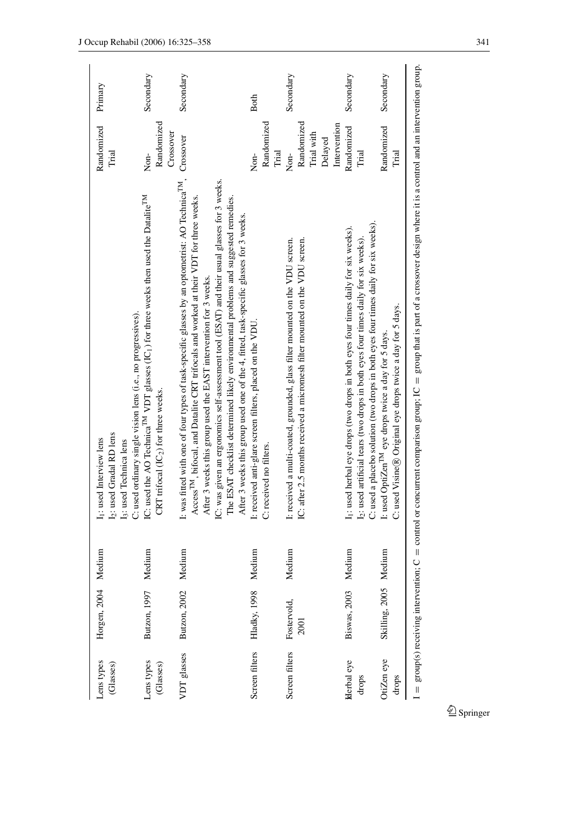| Lens types<br>(Glasses) | Horgen, 2004          | Medium | I <sub>2</sub> : used Gradal RD lens<br>I <sub>1</sub> : used Interview lens                                                                                                                                        | Randomized<br>Trial | Primary   |
|-------------------------|-----------------------|--------|---------------------------------------------------------------------------------------------------------------------------------------------------------------------------------------------------------------------|---------------------|-----------|
|                         |                       |        | C: used ordinary single vision lens (i.e., no progressives).<br>I <sub>3</sub> : used Technica lens                                                                                                                 |                     |           |
| Lens types<br>(Glasses) | Butzon, 1997          | Medium | IC: used the AO Technica <sup>TM</sup> VDT glasses (IC <sub>1</sub> ) for three weeks then used the Datalite <sup>TM</sup><br>CRT trifocal $(IC2)$ for three weeks.                                                 | Randomized<br>Non-  | Secondary |
|                         |                       |        |                                                                                                                                                                                                                     | Crossover           |           |
| VDT glasses             | Butzon, 2002          | Medium | I: was fitted with one of four types of task-specific glasses by an optometrist: AO Technica <sup>TM</sup> ,<br>Access <sup>TM</sup> , bifocal, and Datalite CRT trifocals and worked at their VDT for three weeks. | Crossover           | Secondary |
|                         |                       |        | IC: was given an ergonomics self-assessment tool (ESAT) and their usual glasses for 3 weeks.<br>After 3 weeks this group used the EAST intervention for 3 weeks.                                                    |                     |           |
|                         |                       |        | The ESAT checklist determined likely environmental problems and suggested remedies.                                                                                                                                 |                     |           |
|                         |                       |        | After 3 weeks this group used one of the 4, fitted, task-specific glasses for 3 weeks.                                                                                                                              |                     |           |
| Screen filters          | Hladky, 1998          | Medium | I: received anti-glare screen filters, placed on the VDU.                                                                                                                                                           | Non-                | Both      |
|                         |                       |        | C: received no filters.                                                                                                                                                                                             | Randomized          |           |
|                         |                       |        |                                                                                                                                                                                                                     | Trial               |           |
| Screen filters          | Fostervold,           | Medium | I: received a multi-coated, grounded, glass filter mounted on the VDU screen.                                                                                                                                       | Non-                | Secondary |
|                         | <b>2001</b>           |        | IC: after 2.5 months received a micromesh filter mounted on the VDU screen.                                                                                                                                         | Randomized          |           |
|                         |                       |        |                                                                                                                                                                                                                     | Trial with          |           |
|                         |                       |        |                                                                                                                                                                                                                     | Delayed             |           |
|                         |                       |        |                                                                                                                                                                                                                     | Intervention        |           |
| <b>Herbal</b> eye       | Biswas, 2003          | Medium | I <sub>1</sub> : used herbal eye drops (two drops in both eyes four times daily for six weeks).                                                                                                                     | Randomized          | Secondary |
| drops                   |                       |        | I2: used artificial tears (two drops in both eyes four times daily for six weeks).                                                                                                                                  | Trial               |           |
|                         |                       |        | C: used a placebo solution (two drops in both eyes four times daily for six weeks).                                                                                                                                 |                     |           |
| OtiZen eye              | Skilling, 2005 Medium |        | I: used OptiZen <sup>TM</sup> eye drops twice a day for 5 days.                                                                                                                                                     | Randomized          | Secondary |
| drops                   |                       |        | C: used Visine® Original eye drops twice a day for 5 days.                                                                                                                                                          | Trial               |           |
|                         |                       |        | $\epsilon =$ group(s) receiving intervention; $C =$ control or concurrent comparison group; $IC =$ group that is part of a crossover design where it is a control and an intervention group.                        |                     |           |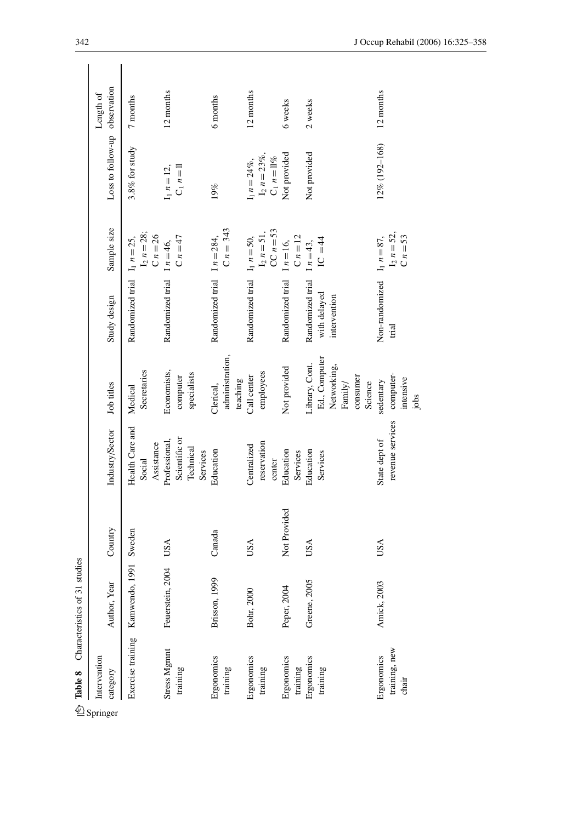<span id="page-17-0"></span>

| $\hat{2}$ | Table 8                             | Characteristics of 31 studies    |              |                                                         |                                                                                  |                                                  |                              |                                                                  |           |
|-----------|-------------------------------------|----------------------------------|--------------|---------------------------------------------------------|----------------------------------------------------------------------------------|--------------------------------------------------|------------------------------|------------------------------------------------------------------|-----------|
| Springer  | Intervention<br>category            | Author, Year                     | Country      | Industry/Sector                                         | Job titles                                                                       | Study design                                     | Sample size                  | Loss to follow-up observation                                    | Length of |
|           |                                     | Exercise training Kamwendo, 1991 | Sweden       | Health Care and<br>Assistance<br>Social                 | Secretaries<br>Medical                                                           | Randomized trial $I_1$ $n = 25$ ,                | $I_2 n = 28;$<br>$C n = 26$  | 3.8% for study                                                   | 7 months  |
|           | <b>Stress Mgmnt</b><br>training     | Feuerstein, 2004                 | USA          | Professional,<br>Scientific or<br>Technical<br>Services | Economists,<br>specialists<br>computer                                           | Randomized trial $1 n = 46$ ,                    | $C n = 47$                   | $C_1$ $n=11$<br>$I_1 n = 12$ ,                                   | 12 months |
|           | Ergonomics<br>training              | Brisson, 1999                    | Canada       | Education                                               | administration,<br>teaching<br>Clerical,                                         | Randomized trial $1 n = 284$ ,                   | $C n = 343$                  | 19%                                                              | 6 months  |
|           | Ergonomics<br>training              | Bohr, 2000                       | <b>USA</b>   | reservation<br>Centralized<br>center                    | employees<br>Call center                                                         | Randomized trial $I_1$ $n = 50$ ,                | $I_2 n = 51,$<br>CC $n = 53$ | $I_2 n = 23\%$ ,<br>$C_1$ $n = \mathbb{1}\%$<br>$I_1 n = 24\%$ , | 12 months |
|           | Ergonomics<br>training              | Peper, 2004                      | Not Provided | Education<br>Services                                   | Not provided                                                                     | Randomized trial $1 n = 16$ ,                    | $C_n = 12$                   | Not provided                                                     | 6 weeks   |
|           | Ergonomics<br>training              | Greene, 2005                     | USA          | Education<br>Services                                   | Ed., Computer<br>Library, Cont.<br>Networking,<br>consumer<br>Science<br>Family/ | Randomized trial<br>with delayed<br>intervention | $IC = 44$<br>$1 n = 43,$     | Not provided                                                     | 2 weeks   |
|           | training, new<br>Ergonomics<br>char | Amick, 2003                      | <b>USA</b>   | revenue services<br>State dept of                       | computer-<br>intensive<br>sedentary<br>jobs                                      | Non-randomized $I_1$ $n = 87$ ,<br>trial         | $I_2 n = 52$ ,<br>$C n = 53$ | 12% (192-168)                                                    | 12 months |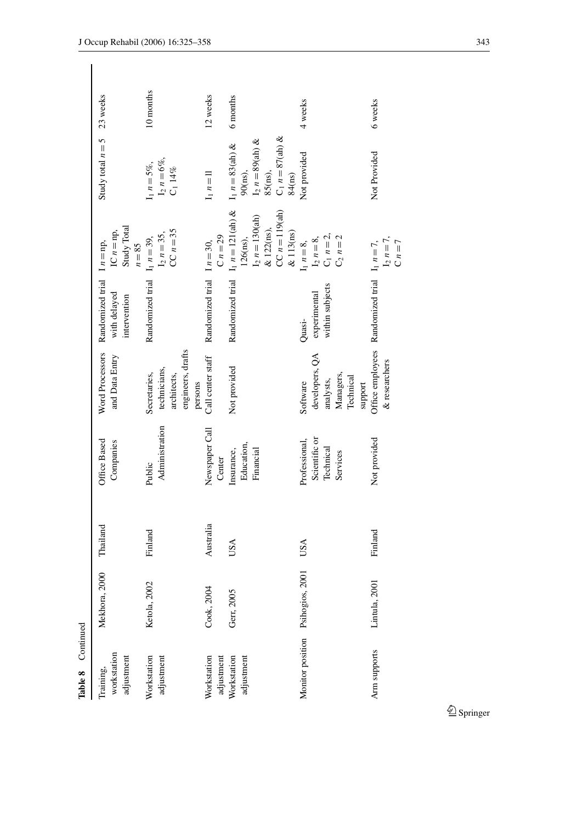| <b>Table 8</b> Continued               |               |           |                                                         |                                                                              |                                                               |                                                                                  |                                                                                                                            |           |
|----------------------------------------|---------------|-----------|---------------------------------------------------------|------------------------------------------------------------------------------|---------------------------------------------------------------|----------------------------------------------------------------------------------|----------------------------------------------------------------------------------------------------------------------------|-----------|
| workstation<br>adjustment<br>Training, | Mekhora, 2000 | Thailand  | Office Based<br>Companies                               | Word Processors<br>and Data Entry                                            | Randomized trial $1 n = np$ ,<br>with delayed<br>intervention | Study Total<br>IC $n = np$ ,<br>$n=85$                                           | Study total $n = 5$                                                                                                        | 23 weeks  |
| Workstation<br>adjustment              | Ketola, 2002  | Finland   | Administration<br>Public                                | engineers, drafts<br>technicians,<br>Secretaries,<br>architects,<br>persons  | Randomized trial $I_1$ $n = 39$ ,                             | $CC n = 35$<br>$I_2 n = 35,$                                                     | $I_2 n = 6\%$ ,<br>$I_1$ $n = 5\%$ ,<br>$C_1 14\%$                                                                         | 10 months |
| Workstation<br>adjustment              | Cook, 2004    | Australia | Newspaper Call<br>Center                                | Call center staff                                                            | Randomized trial $1 n = 30$ ,<br>C $n = 29$                   |                                                                                  | ${\bf I}_1$ $n=1$                                                                                                          | 12 weeks  |
| Workstation<br>adjustment              | Gerr, 2005    | USA       | Education,<br>Insurance,<br>Financial                   | Not provided                                                                 | Randomized trial $I_1$ $n = 121$ (ah) &                       | $CC n = 119(ab)$<br>$I_2 n = 130$ (ah)<br>& 122(ns),<br>$& 113$ (ns)<br>126(ns), | C <sub>1</sub> $n = 87$ (ah) &<br>84(ns)<br>90(ns),<br>$I_2 n = 89(ah) &$<br>85(ns),<br>$\mathbf{I}_1$ $n=83\text{(ah)}$ & | 6 months  |
| Monitor position Psihogios, 2001       |               | USA       | Scientific or<br>Professional,<br>Technical<br>Services | developers, QA<br>Managers,<br>Technical<br>analysts,<br>Software<br>support | within subjects<br>experimental<br>Quasi-                     | $I_2 n = 8,$<br>$C_1 n = 2,$<br>$C_2 n = 2$<br>$I_1 n = 8,$                      | Not provided                                                                                                               | 4 weeks   |
| Arm supports                           | Lintula, 2001 | Finland   | Not provided                                            | & researchers                                                                | Office employees Randomized trial $I_1 n = 7$ ,               | $\mathbf{I}_2$ $n=7,$<br>$Cn=7$                                                  | Not Provided                                                                                                               | 6 weeks   |

Table 8 Continued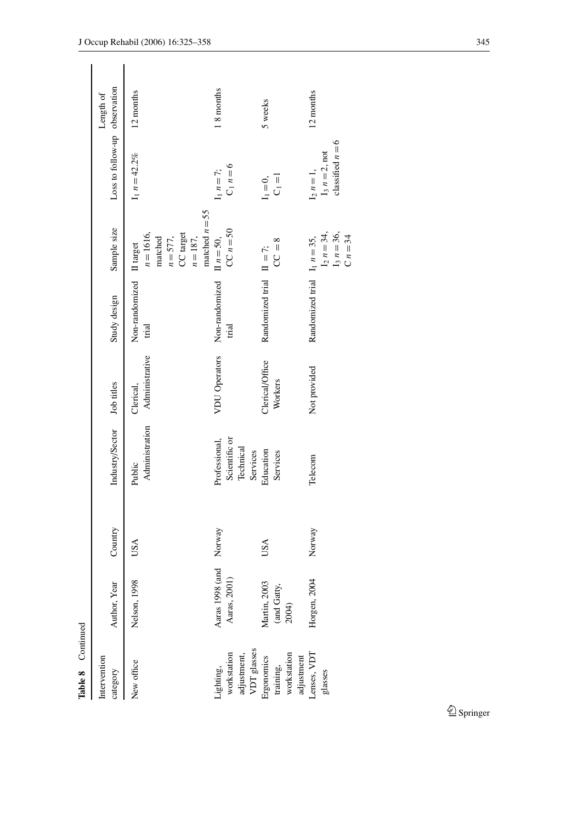| Table 8 Continued                                                                         |                                      |         |                                                         |                             |                                   |                                                                                     |                                                                   |           |
|-------------------------------------------------------------------------------------------|--------------------------------------|---------|---------------------------------------------------------|-----------------------------|-----------------------------------|-------------------------------------------------------------------------------------|-------------------------------------------------------------------|-----------|
| Intervention<br>category                                                                  | Author, Year                         | Country | Industry/Sector Job titles                              |                             | Study design                      | Sample size                                                                         | Loss to follow-up observation                                     | Length of |
| New office                                                                                | Nelson, 1998                         | USA     | Administration<br>Public                                | Administrative<br>Clerical, | Non-randomized II target<br>Irial | matched $n = 55$<br>CC target<br>$n = 1616,$<br>$n = 577,$<br>matched<br>$n = 187,$ | $I_1 n = 42.2\%$                                                  | 12 months |
| workstation<br>.ighting,                                                                  | Aaras 1998 (and<br>Aaras, 2001)      | Norway  | Professional,<br>Scientific or<br>Technical<br>Services | VDU Operators               | Non-randomized<br>trial           | $CCn = 50$<br>$\prod n = 50,$                                                       | $C_1 n = 6$<br>$I_1 n = 7;$                                       | 18 months |
| adjustment, $\text{VDT}$ glasses Ergonomics training, training, workstation<br>adjustment | Martin, 2003<br>(and Gatty,<br>2004) | USA     | Education<br>Services                                   | Clerical/Office<br>Workers  | Randomized trial $\Pi = 7$ ;      | $CC = 8$                                                                            | $C_1 = 1$<br>${\rm I}_1=0,$                                       | 5 weeks   |
| Lenses, VDT<br>glasses                                                                    | Horgen, 2004                         | Norway  | Telecom                                                 | Not provided                | Randomized trial $I_1$ $n = 35$ , | $I_2 n = 34,$<br>$I_3 n = 36,$<br>$C n = 34$                                        | classified $n = 6$<br>I <sub>3</sub> $n=2$ , not<br>$I_2 n = 1$ , | 12 months |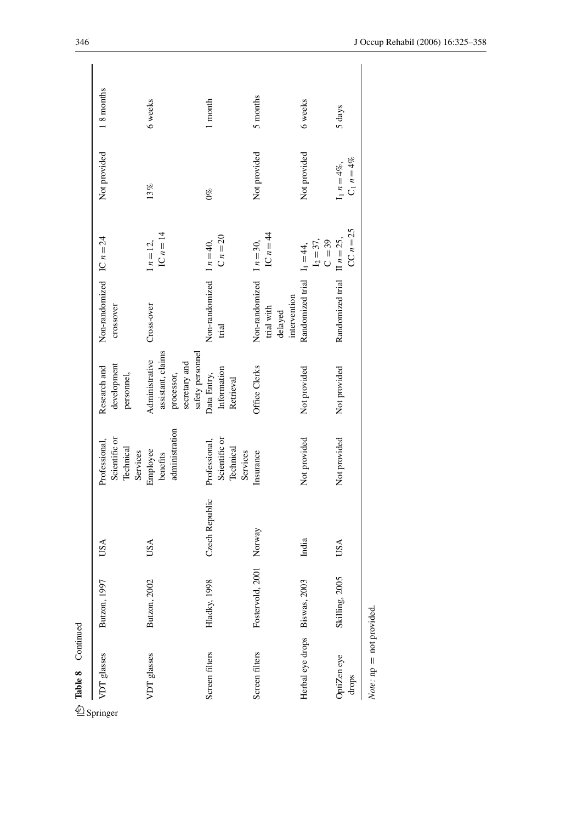| Table 8 Continued             |                  |                |                                                         |                                                                                        |                                                                     |                                      |                                  |           |
|-------------------------------|------------------|----------------|---------------------------------------------------------|----------------------------------------------------------------------------------------|---------------------------------------------------------------------|--------------------------------------|----------------------------------|-----------|
| VDT glasses                   | Butzon, 1997     | USA            | Professional,<br>Scientific or<br>Technical<br>Services | development<br>Research and<br>personnel,                                              | Non-randomized IC $n = 24$<br>crossover                             |                                      | Not provided                     | 18 months |
| VDT glasses                   | Butzon, 2002     | USA            | administration<br>Employee<br>benefits                  | assistant, claims<br>safety personnel<br>Administrative<br>secretary and<br>processor, | Cross-over                                                          | $ICn = 14$<br>$1 n = 12,$            | 13%                              | 6 weeks   |
| Screen filters                | Hladky, 1998     | Czech Republic | Professional,<br>Scientific or<br>Technical<br>Services | Information<br>Data Entry,<br>Retrieval                                                | Non-randomized $1 n = 40$ ,<br>trial                                | $C n = 20$                           | $0\%$                            | 1 month   |
| Screen filters                | Fostervold, 2001 | Norway         | Insurance                                               | Office Clerks                                                                          | Non-randomized $1n = 30$ ,<br>intervention<br>trial with<br>delayed | IC $n = 44$                          | Not provided                     | 5 months  |
| Herbal eye drops Biswas, 2003 |                  | India          | Not provided                                            | Not provided                                                                           | Randomized trial                                                    | $I_2 = 37,$<br>C = 39<br>$I_1 = 44,$ | Not provided                     | 6 weeks   |
| OptiZen eye<br>drops          | Skilling, 2005   | <b>USA</b>     | Not provided                                            | Not provided                                                                           | Randomized trial                                                    | $CCn = 25$<br>$\Pi n = 25,$          | $C_1 n = 4\%$<br>$I_1 n = 4\%$ , | 5 days    |
| $Note: np = not provided.$    |                  |                |                                                         |                                                                                        |                                                                     |                                      |                                  |           |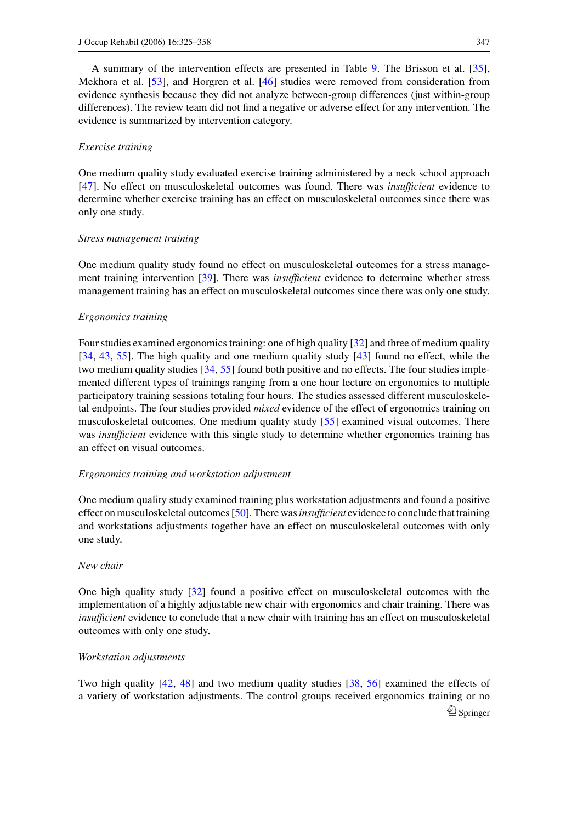A summary of the intervention effects are presented in Table [9.](#page-23-0) The Brisson et al. [\[35\]](#page-32-13), Mekhora et al. [\[53\]](#page-33-11), and Horgren et al. [\[46\]](#page-33-12) studies were removed from consideration from evidence synthesis because they did not analyze between-group differences (just within-group differences). The review team did not find a negative or adverse effect for any intervention. The evidence is summarized by intervention category.

## *Exercise training*

One medium quality study evaluated exercise training administered by a neck school approach [\[47\]](#page-33-13). No effect on musculoskeletal outcomes was found. There was *insufficient* evidence to determine whether exercise training has an effect on musculoskeletal outcomes since there was only one study.

#### *Stress management training*

One medium quality study found no effect on musculoskeletal outcomes for a stress management training intervention [\[39\]](#page-32-14). There was *insufficient* evidence to determine whether stress management training has an effect on musculoskeletal outcomes since there was only one study.

## *Ergonomics training*

Four studies examined ergonomics training: one of high quality [\[32\]](#page-32-12) and three of medium quality [\[34,](#page-32-16) [43,](#page-33-14) [55\]](#page-33-15). The high quality and one medium quality study [\[43\]](#page-33-14) found no effect, while the two medium quality studies [\[34,](#page-32-16) [55\]](#page-33-15) found both positive and no effects. The four studies implemented different types of trainings ranging from a one hour lecture on ergonomics to multiple participatory training sessions totaling four hours. The studies assessed different musculoskeletal endpoints. The four studies provided *mixed* evidence of the effect of ergonomics training on musculoskeletal outcomes. One medium quality study [\[55\]](#page-33-15) examined visual outcomes. There was *insufficient* evidence with this single study to determine whether ergonomics training has an effect on visual outcomes.

# *Ergonomics training and workstation adjustment*

One medium quality study examined training plus workstation adjustments and found a positive effect on musculoskeletal outcomes [\[50\]](#page-33-1). There was*insufficient* evidence to conclude that training and workstations adjustments together have an effect on musculoskeletal outcomes with only one study.

#### *New chair*

One high quality study [\[32\]](#page-32-12) found a positive effect on musculoskeletal outcomes with the implementation of a highly adjustable new chair with ergonomics and chair training. There was *insufficient* evidence to conclude that a new chair with training has an effect on musculoskeletal outcomes with only one study.

#### *Workstation adjustments*

Two high quality [\[42,](#page-33-2) [48\]](#page-33-3) and two medium quality studies [\[38,](#page-32-17) [56\]](#page-33-16) examined the effects of a variety of workstation adjustments. The control groups received ergonomics training or no  $\mathcal{Q}$  Springer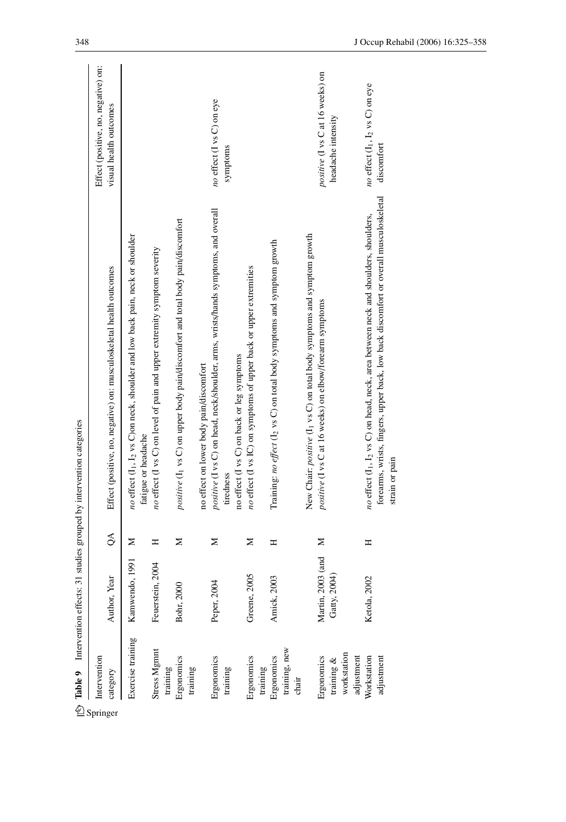| <b>Table 9</b> Intervention effects: 31                  |                                    |          | studies grouped by intervention categories                                                                                                                                                        |                                                                       |
|----------------------------------------------------------|------------------------------------|----------|---------------------------------------------------------------------------------------------------------------------------------------------------------------------------------------------------|-----------------------------------------------------------------------|
| Intervention<br>category                                 | Author, Year                       | $\infty$ | Effect (positive, no, negative) on: musculoskeletal health outcomes                                                                                                                               | Effect (positive, no, negative) on:<br>visual health outcomes         |
| Exercise training                                        | 1991<br>Kamwendo,                  | Σ        | no effect (I <sub>1</sub> , I <sub>2</sub> vs C)on neck, shoulder and low back pain, neck or shoulder<br>fatigue or headache                                                                      |                                                                       |
| <b>Stress Mgmnt</b><br>training                          | Feuerstein, 2004                   | Ξ        | no effect (I vs C) on level of pain and upper extremity symptom severity                                                                                                                          |                                                                       |
| Ergonomics<br>training                                   | Bohr, 2000                         | Σ        | positive (I1 vs C) on upper body pain/discomfort and total body pain/discomfort                                                                                                                   |                                                                       |
|                                                          |                                    |          | no effect on lower body pain/discomfort                                                                                                                                                           |                                                                       |
| Ergonomics<br>training                                   | Peper, 2004                        | Σ        | positive (I vs C) on head, neck/shoulder, arms, wrists/hands symptoms, and overall<br>no effect (I vs C) on back or leg symptoms<br>tiredness                                                     | no effect (I vs C) on eye<br>symptoms                                 |
| Ergonomics<br>training                                   | Greene, 2005                       | Z        | no effect (I vs IC) on symptoms of upper back or upper extremities                                                                                                                                |                                                                       |
| training, new<br>Ergonomics<br>char                      | Amick, 2003                        | Η        | Training: no effect (I <sub>2</sub> vs C) on total body symptoms and symptom growth                                                                                                               |                                                                       |
|                                                          |                                    |          | New Chair: positive (I1 vs C) on total body symptoms and symptom growth                                                                                                                           |                                                                       |
| workstation<br>Ergonomics<br>adjustment<br>training $\&$ | and<br>Martin, 2003<br>Gatty, 2004 | Σ        | positive (I vs C at 16 weeks) on elbow/forearm symptoms                                                                                                                                           | positive (I vs C at 16 weeks) on<br>headache intensity                |
| Workstation<br>adjustment                                | Ketola, 2002                       | Η        | forearms, wrists, fingers, upper back, low back discomfort or overall musculoskeletal<br>no effect $(I_1, I_2$ vs C) on head, neck, area between neck and shoulders, shoulders,<br>strain or pain | no effect (1 <sub>1</sub> , 1 <sub>2</sub> vs C) on eye<br>discomfort |

<span id="page-23-0"></span>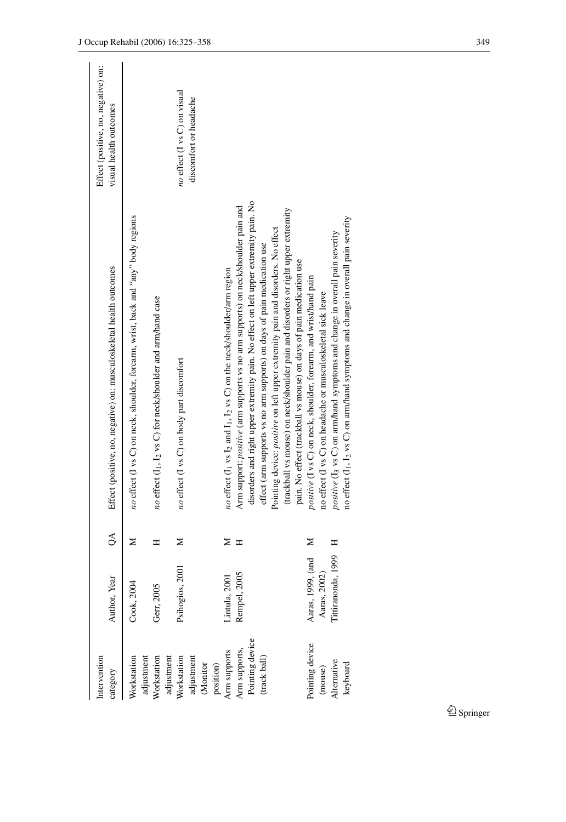| Intervention<br>category                                         | Author, Year                                            | $\delta$          | Effect (positive, no, negative) on: musculoskeletal health outcomes                                                                                                                                                                                                                                                                                                                                                                                                                                                                                                                                                 | Effect (positive, no, negative) on:<br>visual health outcomes     |
|------------------------------------------------------------------|---------------------------------------------------------|-------------------|---------------------------------------------------------------------------------------------------------------------------------------------------------------------------------------------------------------------------------------------------------------------------------------------------------------------------------------------------------------------------------------------------------------------------------------------------------------------------------------------------------------------------------------------------------------------------------------------------------------------|-------------------------------------------------------------------|
| Workstation<br><b>Norkstation</b><br>adjustment                  | Cook, 2004<br>Gerr, 2005                                | ≍<br>Ξ            | no effect (I vs C) on neck, shoulder, forearm, wrist, back and "any" body regions<br>no effect (I <sub>1</sub> , I <sub>2</sub> vs C) for neck/shoulder and arm/hand case                                                                                                                                                                                                                                                                                                                                                                                                                                           |                                                                   |
| Workstation<br>adjustment<br>adjustment<br>(Monitor<br>position) | Psihogios, 2001                                         | Σ                 | no effect (I vs C) on body part discomfort                                                                                                                                                                                                                                                                                                                                                                                                                                                                                                                                                                          | no effect $(1 \text{ vs } C)$ on visual<br>discomfort or headache |
| Pointing device<br>Arm supports,<br>Arm supports<br>(track ball) | Rempel, 2005<br>Lintula, 2001                           | ≍<br>Ξ            | disorders and right upper extremity pain. No effect on left upper extremity pain. No<br>Arm support: <i>positive</i> (arm supports vs no arm supports) on neck/shoulder pain and<br>(trackball vs mouse) on neck/shoulder pain and disorders or right upper extremity<br>Pointing device: positive on left upper extremity pain and disorders. No effect<br>effect (arm supports vs no arm supports) on days of pain medication use<br>pain. No effect (trackball vs mouse) on days of pain medication use<br>no effect $(I_1 \text{ vs } I_2 \text{ and } I_1, I_2 \text{ vs } C)$ on the neck/shoulder/arm region |                                                                   |
| Pointing device<br>Alternative<br>keyboard<br>(mouse)            | Tittiranonda, 1999<br>Aaras, 1999, (and<br>Aaras, 2002) | Z<br>$\mathbf{H}$ | no effect $(I_1, I_2$ vs $C$ ) on arm/hand symptoms and change in overall pain severity<br><i>positive</i> ( $I_3$ vs $C$ ) on arm/hand symptoms and change in overall pain severity<br>positive (I vs C) on neck, shoulder, forearm, and wrist/hand pain<br>no effect (I vs C) on headache or musculoskeletal sick leave                                                                                                                                                                                                                                                                                           |                                                                   |
|                                                                  |                                                         |                   |                                                                                                                                                                                                                                                                                                                                                                                                                                                                                                                                                                                                                     |                                                                   |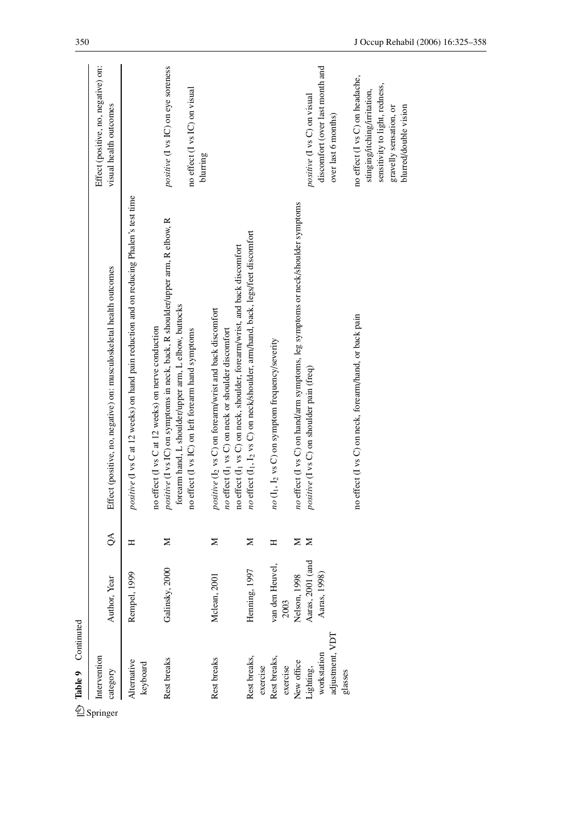| ❹        | Table 9 Continuted         |                         |          |                                                                                                                                                                                                                                |                                                                                                                                                      |
|----------|----------------------------|-------------------------|----------|--------------------------------------------------------------------------------------------------------------------------------------------------------------------------------------------------------------------------------|------------------------------------------------------------------------------------------------------------------------------------------------------|
| Springer | Intervention<br>category   | Author, Year            | $\delta$ | Effect (positive, no, negative) on: musculoskeletal health outcomes                                                                                                                                                            | Effect (positive, no, negative) on:<br>visual health outcomes                                                                                        |
|          | Alternative<br>keyboard    | Rempel, 1999            | Ξ        | positive (I vs C at 12 weeks) on hand pain reduction and on reducing Phalen's test time                                                                                                                                        |                                                                                                                                                      |
|          | Rest breaks                | Galinsky, 2000          | Σ        | positive (I vs IC) on symptoms in neck, back, R shoulder/upper arm, R elbow, R<br>forearm hand, L shoulder/upper arm, L elbow, buttocks<br>no effect (I vs C at 12 weeks) on nerve conduction                                  | positive (I vs IC) on eye soreness                                                                                                                   |
|          |                            |                         |          | no effect (I vs IC) on left forearm hand symptoms                                                                                                                                                                              | no effect (I vs IC) on visual<br>blurring                                                                                                            |
|          | Rest breaks                | Mclean, 2001            | Σ        | no effect (I <sub>1</sub> vs C) on neck, shoulder, forearm/wrist, and back discomfort<br>positive (I <sub>2</sub> vs C) on forearm/wrist and back discomfort<br>no effect (I <sub>1</sub> vs C) on neck or shoulder discomfort |                                                                                                                                                      |
|          | Rest breaks,<br>exercise   | Henning, 1997           | Σ        | no effect (I <sub>1</sub> , I <sub>2</sub> vs C) on neck/shoulder, arm/hand, back, legs/feet discomfort                                                                                                                        |                                                                                                                                                      |
|          | Rest breaks,<br>exercise   | van den Heuvel,<br>2003 | Η        | $n\sigma$ (I <sub>1</sub> , I <sub>2</sub> vs C) on symptom frequency/severity                                                                                                                                                 |                                                                                                                                                      |
|          | New office                 | Nelson, 1998            | Σ        | no effect (I vs C) on hand/arm symptoms, leg symptoms or neck/shoulder symptoms                                                                                                                                                |                                                                                                                                                      |
|          | Lighting,                  | Aaras, 2001 (and        | Σ        | positive (I vs C) on shoulder pain (freq)                                                                                                                                                                                      | positive (I vs C) on visual                                                                                                                          |
|          | workstation                | Aaras, 1998)            |          |                                                                                                                                                                                                                                | discomfort (over last month and                                                                                                                      |
|          | adjustment, VDT<br>glasses |                         |          |                                                                                                                                                                                                                                | over last 6 months)                                                                                                                                  |
|          |                            |                         |          | no effect (I vs C) on neck, forearm/hand, or back pain                                                                                                                                                                         | no effect (I vs C) on headache,<br>sensitivity to light, redness,<br>stinging/itching/irritation,<br>blurred/double vision<br>gravelly sensation, or |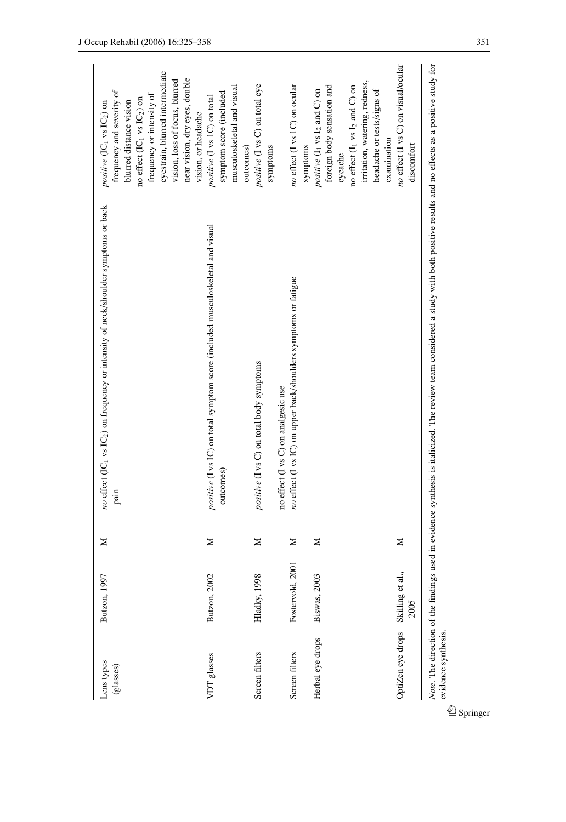| Lens types<br>(glasses) | Butzon, 1997             | Σ | no effect (IC1 vs IC2) on frequency or intensity of neck/shoulder symptoms or back<br>pain                                                                                         | eyestrain, blurred intermediate<br>near vision, dry eyes, double<br>vision, loss of focus, blurred<br>frequency and severity of<br>frequency or intensity of<br>no effect $(IC_1 \text{ vs } IC_2)$ on<br>blurred distance vision<br>positive (IC <sub>1</sub> vs IC <sub>2</sub> ) on<br>vision, or headache |
|-------------------------|--------------------------|---|------------------------------------------------------------------------------------------------------------------------------------------------------------------------------------|---------------------------------------------------------------------------------------------------------------------------------------------------------------------------------------------------------------------------------------------------------------------------------------------------------------|
| VDT glasses             | Butzon, 2002             | Σ | positive (I vs IC) on total symptom score (included musculoskeletal and visual<br>outcomes)                                                                                        | musculoskeletal and visual<br>symptom score (included<br>positive (I vs 1C) on total<br>outcomes)                                                                                                                                                                                                             |
| Screen filters          | Hladky, 1998             | Σ | positive (I vs C) on total body symptoms                                                                                                                                           | positive (I vs C) on total eye<br>symptoms                                                                                                                                                                                                                                                                    |
| Screen filters          | Fostervold, 2001         | Σ | no effect (I vs IC) on upper back/shoulders symptoms or fatigue<br>no effect (I vs C) on analgesic use                                                                             | no effect (I vs 1C) on ocular                                                                                                                                                                                                                                                                                 |
| Herbal eye drops        | Biswas, 2003             | Σ |                                                                                                                                                                                    | irritation, watering, redness,<br>foreign body sensation and<br>no effect (I <sub>1</sub> vs I <sub>2</sub> and C) on<br>headache or tests/signs of<br>positive $(I_1 \vee s I_2$ and $C)$ on<br>examination<br>symptoms<br>eyeache                                                                           |
| OptiZen eye drops       | Skilling et al.,<br>2005 | Σ |                                                                                                                                                                                    | no effect (I vs C) on visual/ocular<br>discomfort                                                                                                                                                                                                                                                             |
| evidence synthesis.     |                          |   | Note. The direction of the findings used in evidence synthesis is italicized. The review team considered a study with both positive results and no effects as a positive study for |                                                                                                                                                                                                                                                                                                               |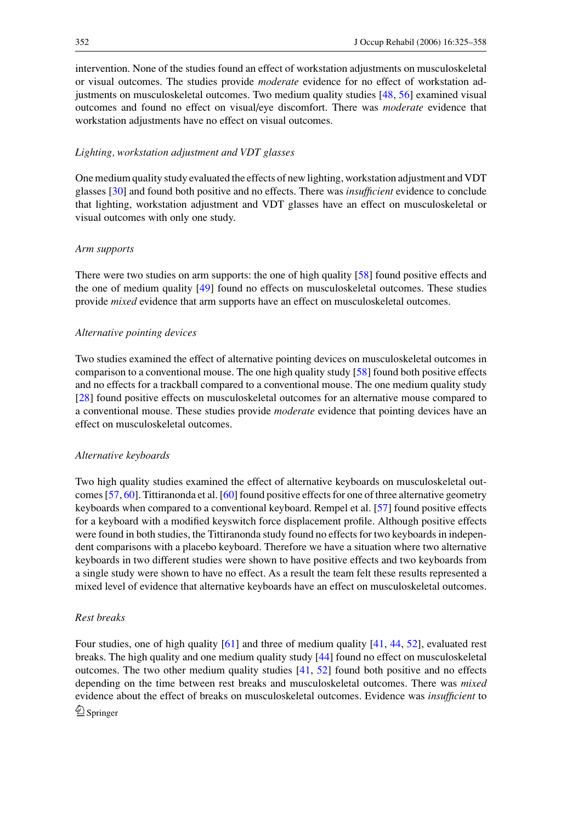intervention. None of the studies found an effect of workstation adjustments on musculoskeletal or visual outcomes. The studies provide *moderate* evidence for no effect of workstation adjustments on musculoskeletal outcomes. Two medium quality studies [\[48,](#page-33-3) [56\]](#page-33-16) examined visual outcomes and found no effect on visual/eye discomfort. There was *moderate* evidence that workstation adjustments have no effect on visual outcomes.

#### *Lighting, workstation adjustment and VDT glasses*

One medium quality study evaluated the effects of new lighting, workstation adjustment and VDT glasses [\[30\]](#page-32-18) and found both positive and no effects. There was *insufficient* evidence to conclude that lighting, workstation adjustment and VDT glasses have an effect on musculoskeletal or visual outcomes with only one study.

#### *Arm supports*

There were two studies on arm supports: the one of high quality [\[58\]](#page-33-5) found positive effects and the one of medium quality [\[49\]](#page-33-17) found no effects on musculoskeletal outcomes. These studies provide *mixed* evidence that arm supports have an effect on musculoskeletal outcomes.

#### *Alternative pointing devices*

Two studies examined the effect of alternative pointing devices on musculoskeletal outcomes in comparison to a conventional mouse. The one high quality study [\[58\]](#page-33-5) found both positive effects and no effects for a trackball compared to a conventional mouse. The one medium quality study [\[28\]](#page-32-19) found positive effects on musculoskeletal outcomes for an alternative mouse compared to a conventional mouse. These studies provide *moderate* evidence that pointing devices have an effect on musculoskeletal outcomes.

#### *Alternative keyboards*

Two high quality studies examined the effect of alternative keyboards on musculoskeletal outcomes [\[57,](#page-33-4) [60\]](#page-33-6). Tittiranonda et al. [\[60\]](#page-33-6) found positive effects for one of three alternative geometry keyboards when compared to a conventional keyboard. Rempel et al. [\[57\]](#page-33-4) found positive effects for a keyboard with a modified keyswitch force displacement profile. Although positive effects were found in both studies, the Tittiranonda study found no effects for two keyboards in independent comparisons with a placebo keyboard. Therefore we have a situation where two alternative keyboards in two different studies were shown to have positive effects and two keyboards from a single study were shown to have no effect. As a result the team felt these results represented a mixed level of evidence that alternative keyboards have an effect on musculoskeletal outcomes.

# *Rest breaks*

Four studies, one of high quality [\[61\]](#page-33-7) and three of medium quality [\[41,](#page-32-20) [44,](#page-33-18) [52\]](#page-33-8), evaluated rest breaks. The high quality and one medium quality study [\[44\]](#page-33-18) found no effect on musculoskeletal outcomes. The two other medium quality studies  $[41, 52]$  $[41, 52]$  $[41, 52]$  found both positive and no effects depending on the time between rest breaks and musculoskeletal outcomes. There was *mixed* evidence about the effect of breaks on musculoskeletal outcomes. Evidence was *insufficient* to  $\mathcal{Q}$  Springer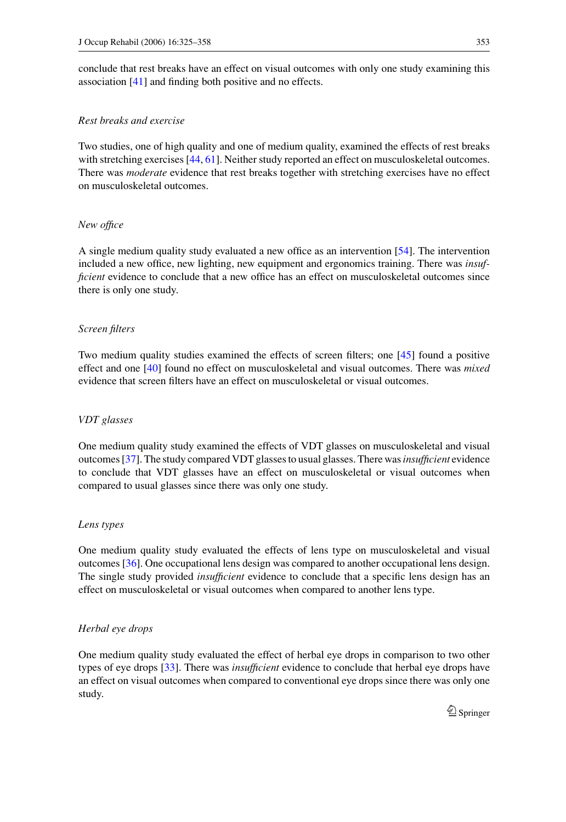conclude that rest breaks have an effect on visual outcomes with only one study examining this association [\[41\]](#page-32-20) and finding both positive and no effects.

# *Rest breaks and exercise*

Two studies, one of high quality and one of medium quality, examined the effects of rest breaks with stretching exercises [\[44,](#page-33-18) [61\]](#page-33-7). Neither study reported an effect on musculoskeletal outcomes. There was *moderate* evidence that rest breaks together with stretching exercises have no effect on musculoskeletal outcomes.

# *New office*

A single medium quality study evaluated a new office as an intervention [\[54\]](#page-33-9). The intervention included a new office, new lighting, new equipment and ergonomics training. There was *insufficient* evidence to conclude that a new office has an effect on musculoskeletal outcomes since there is only one study.

## *Screen filters*

Two medium quality studies examined the effects of screen filters; one [\[45\]](#page-33-19) found a positive effect and one [\[40\]](#page-32-21) found no effect on musculoskeletal and visual outcomes. There was *mixed* evidence that screen filters have an effect on musculoskeletal or visual outcomes.

# *VDT glasses*

One medium quality study examined the effects of VDT glasses on musculoskeletal and visual outcomes [\[37\]](#page-32-22). The study compared VDT glasses to usual glasses. There was*insufficient* evidence to conclude that VDT glasses have an effect on musculoskeletal or visual outcomes when compared to usual glasses since there was only one study.

#### *Lens types*

One medium quality study evaluated the effects of lens type on musculoskeletal and visual outcomes [\[36\]](#page-32-15). One occupational lens design was compared to another occupational lens design. The single study provided *insufficient* evidence to conclude that a specific lens design has an effect on musculoskeletal or visual outcomes when compared to another lens type.

# *Herbal eye drops*

One medium quality study evaluated the effect of herbal eye drops in comparison to two other types of eye drops [\[33\]](#page-32-23). There was *insufficient* evidence to conclude that herbal eye drops have an effect on visual outcomes when compared to conventional eye drops since there was only one study.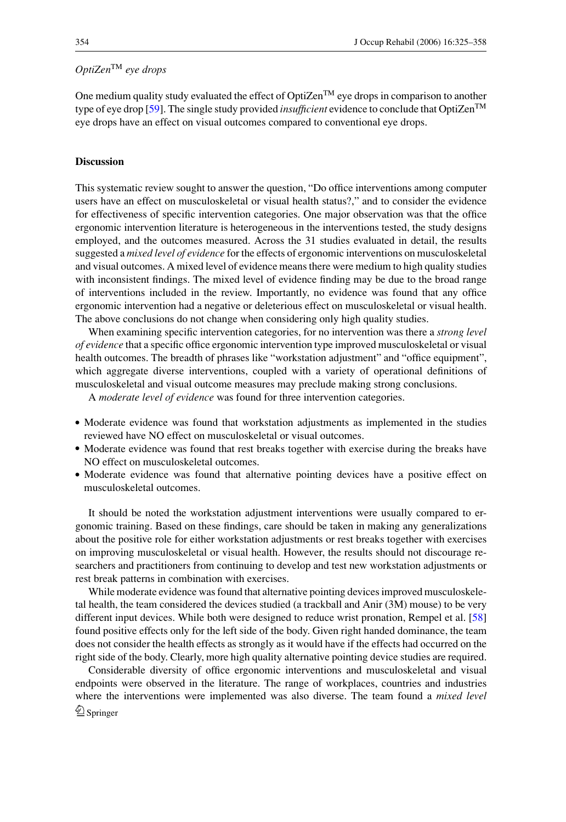# *OptiZen*TM *eye drops*

One medium quality study evaluated the effect of OptiZen<sup>TM</sup> eye drops in comparison to another type of eye drop [\[59\]](#page-33-10). The single study provided *insufficient* evidence to conclude that OptiZenTM eye drops have an effect on visual outcomes compared to conventional eye drops.

## **Discussion**

This systematic review sought to answer the question, "Do office interventions among computer users have an effect on musculoskeletal or visual health status?," and to consider the evidence for effectiveness of specific intervention categories. One major observation was that the office ergonomic intervention literature is heterogeneous in the interventions tested, the study designs employed, and the outcomes measured. Across the 31 studies evaluated in detail, the results suggested a *mixed level of evidence* for the effects of ergonomic interventions on musculoskeletal and visual outcomes. A mixed level of evidence means there were medium to high quality studies with inconsistent findings. The mixed level of evidence finding may be due to the broad range of interventions included in the review. Importantly, no evidence was found that any office ergonomic intervention had a negative or deleterious effect on musculoskeletal or visual health. The above conclusions do not change when considering only high quality studies.

When examining specific intervention categories, for no intervention was there a *strong level of evidence* that a specific office ergonomic intervention type improved musculoskeletal or visual health outcomes. The breadth of phrases like "workstation adjustment" and "office equipment", which aggregate diverse interventions, coupled with a variety of operational definitions of musculoskeletal and visual outcome measures may preclude making strong conclusions.

A *moderate level of evidence* was found for three intervention categories.

- Moderate evidence was found that workstation adjustments as implemented in the studies reviewed have NO effect on musculoskeletal or visual outcomes.
- Moderate evidence was found that rest breaks together with exercise during the breaks have NO effect on musculoskeletal outcomes.
- Moderate evidence was found that alternative pointing devices have a positive effect on musculoskeletal outcomes.

It should be noted the workstation adjustment interventions were usually compared to ergonomic training. Based on these findings, care should be taken in making any generalizations about the positive role for either workstation adjustments or rest breaks together with exercises on improving musculoskeletal or visual health. However, the results should not discourage researchers and practitioners from continuing to develop and test new workstation adjustments or rest break patterns in combination with exercises.

While moderate evidence was found that alternative pointing devices improved musculoskeletal health, the team considered the devices studied (a trackball and Anir (3M) mouse) to be very different input devices. While both were designed to reduce wrist pronation, Rempel et al. [\[58\]](#page-33-5) found positive effects only for the left side of the body. Given right handed dominance, the team does not consider the health effects as strongly as it would have if the effects had occurred on the right side of the body. Clearly, more high quality alternative pointing device studies are required.

Considerable diversity of office ergonomic interventions and musculoskeletal and visual endpoints were observed in the literature. The range of workplaces, countries and industries where the interventions were implemented was also diverse. The team found a *mixed level*  $\mathcal{Q}$  Springer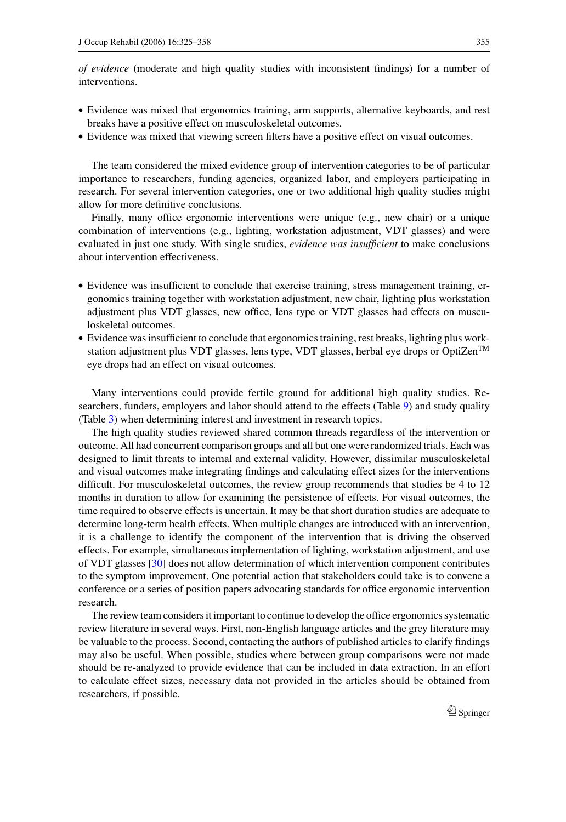*of evidence* (moderate and high quality studies with inconsistent findings) for a number of interventions.

- Evidence was mixed that ergonomics training, arm supports, alternative keyboards, and rest breaks have a positive effect on musculoskeletal outcomes.
- Evidence was mixed that viewing screen filters have a positive effect on visual outcomes.

The team considered the mixed evidence group of intervention categories to be of particular importance to researchers, funding agencies, organized labor, and employers participating in research. For several intervention categories, one or two additional high quality studies might allow for more definitive conclusions.

Finally, many office ergonomic interventions were unique (e.g., new chair) or a unique combination of interventions (e.g., lighting, workstation adjustment, VDT glasses) and were evaluated in just one study. With single studies, *evidence was insufficient* to make conclusions about intervention effectiveness.

- Evidence was insufficient to conclude that exercise training, stress management training, ergonomics training together with workstation adjustment, new chair, lighting plus workstation adjustment plus VDT glasses, new office, lens type or VDT glasses had effects on musculoskeletal outcomes.
- Evidence was insufficient to conclude that ergonomics training, rest breaks, lighting plus workstation adjustment plus VDT glasses, lens type, VDT glasses, herbal eye drops or OptiZen<sup>TM</sup> eye drops had an effect on visual outcomes.

Many interventions could provide fertile ground for additional high quality studies. Researchers, funders, employers and labor should attend to the effects (Table [9\)](#page-23-0) and study quality (Table [3\)](#page-5-0) when determining interest and investment in research topics.

The high quality studies reviewed shared common threads regardless of the intervention or outcome. All had concurrent comparison groups and all but one were randomized trials. Each was designed to limit threats to internal and external validity. However, dissimilar musculoskeletal and visual outcomes make integrating findings and calculating effect sizes for the interventions difficult. For musculoskeletal outcomes, the review group recommends that studies be 4 to 12 months in duration to allow for examining the persistence of effects. For visual outcomes, the time required to observe effects is uncertain. It may be that short duration studies are adequate to determine long-term health effects. When multiple changes are introduced with an intervention, it is a challenge to identify the component of the intervention that is driving the observed effects. For example, simultaneous implementation of lighting, workstation adjustment, and use of VDT glasses [\[30\]](#page-32-18) does not allow determination of which intervention component contributes to the symptom improvement. One potential action that stakeholders could take is to convene a conference or a series of position papers advocating standards for office ergonomic intervention research.

The review team considers it important to continue to develop the office ergonomics systematic review literature in several ways. First, non-English language articles and the grey literature may be valuable to the process. Second, contacting the authors of published articles to clarify findings may also be useful. When possible, studies where between group comparisons were not made should be re-analyzed to provide evidence that can be included in data extraction. In an effort to calculate effect sizes, necessary data not provided in the articles should be obtained from researchers, if possible.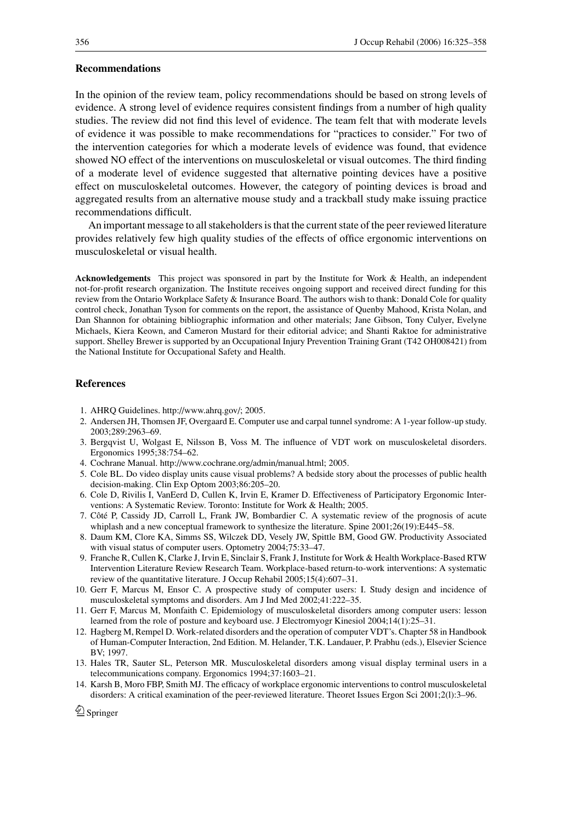#### **Recommendations**

In the opinion of the review team, policy recommendations should be based on strong levels of evidence. A strong level of evidence requires consistent findings from a number of high quality studies. The review did not find this level of evidence. The team felt that with moderate levels of evidence it was possible to make recommendations for "practices to consider." For two of the intervention categories for which a moderate levels of evidence was found, that evidence showed NO effect of the interventions on musculoskeletal or visual outcomes. The third finding of a moderate level of evidence suggested that alternative pointing devices have a positive effect on musculoskeletal outcomes. However, the category of pointing devices is broad and aggregated results from an alternative mouse study and a trackball study make issuing practice recommendations difficult.

An important message to all stakeholders is that the current state of the peer reviewed literature provides relatively few high quality studies of the effects of office ergonomic interventions on musculoskeletal or visual health.

**Acknowledgements** This project was sponsored in part by the Institute for Work & Health, an independent not-for-profit research organization. The Institute receives ongoing support and received direct funding for this review from the Ontario Workplace Safety & Insurance Board. The authors wish to thank: Donald Cole for quality control check, Jonathan Tyson for comments on the report, the assistance of Quenby Mahood, Krista Nolan, and Dan Shannon for obtaining bibliographic information and other materials; Jane Gibson, Tony Culyer, Evelyne Michaels, Kiera Keown, and Cameron Mustard for their editorial advice; and Shanti Raktoe for administrative support. Shelley Brewer is supported by an Occupational Injury Prevention Training Grant (T42 OH008421) from the National Institute for Occupational Safety and Health.

## **References**

- <span id="page-31-9"></span>1. AHRQ Guidelines. http://www.ahrq.gov/; 2005.
- 2. Andersen JH, Thomsen JF, Overgaard E. Computer use and carpal tunnel syndrome: A 1-year follow-up study. 2003;289:2963–69.
- 3. Bergqvist U, Wolgast E, Nilsson B, Voss M. The influence of VDT work on musculoskeletal disorders. Ergonomics 1995;38:754–62.
- <span id="page-31-8"></span>4. Cochrane Manual. http://www.cochrane.org/admin/manual.html; 2005.
- 5. Cole BL. Do video display units cause visual problems? A bedside story about the processes of public health decision-making. Clin Exp Optom 2003;86:205–20.
- <span id="page-31-1"></span>6. Cole D, Rivilis I, VanEerd D, Cullen K, Irvin E, Kramer D. Effectiveness of Participatory Ergonomic Interventions: A Systematic Review. Toronto: Institute for Work & Health; 2005.
- <span id="page-31-6"></span><span id="page-31-4"></span>7. Côté P, Cassidy JD, Carroll L, Frank JW, Bombardier C. A systematic review of the prognosis of acute whiplash and a new conceptual framework to synthesize the literature. Spine 2001;26(19):E445–58.
- 8. Daum KM, Clore KA, Simms SS, Wilczek DD, Vesely JW, Spittle BM, Good GW. Productivity Associated with visual status of computer users. Optometry 2004;75:33–47.
- <span id="page-31-7"></span><span id="page-31-2"></span>9. Franche R, Cullen K, Clarke J, Irvin E, Sinclair S, Frank J, Institute for Work & Health Workplace-Based RTW Intervention Literature Review Research Team. Workplace-based return-to-work interventions: A systematic review of the quantitative literature. J Occup Rehabil 2005;15(4):607–31.
- 10. Gerr F, Marcus M, Ensor C. A prospective study of computer users: I. Study design and incidence of musculoskeletal symptoms and disorders. Am J Ind Med 2002;41:222–35.
- 11. Gerr F, Marcus M, Monfaith C. Epidemiology of musculoskeletal disorders among computer users: lesson learned from the role of posture and keyboard use. J Electromyogr Kinesiol 2004;14(1):25–31.
- 12. Hagberg M, Rempel D. Work-related disorders and the operation of computer VDT's. Chapter 58 in Handbook of Human-Computer Interaction, 2nd Edition. M. Helander, T.K. Landauer, P. Prabhu (eds.), Elsevier Science BV; 1997.
- <span id="page-31-0"></span>13. Hales TR, Sauter SL, Peterson MR. Musculoskeletal disorders among visual display terminal users in a telecommunications company. Ergonomics 1994;37:1603–21.
- <span id="page-31-5"></span><span id="page-31-3"></span>14. Karsh B, Moro FBP, Smith MJ. The efficacy of workplace ergonomic interventions to control musculoskeletal disorders: A critical examination of the peer-reviewed literature. Theoret Issues Ergon Sci 2001;2(l):3–96.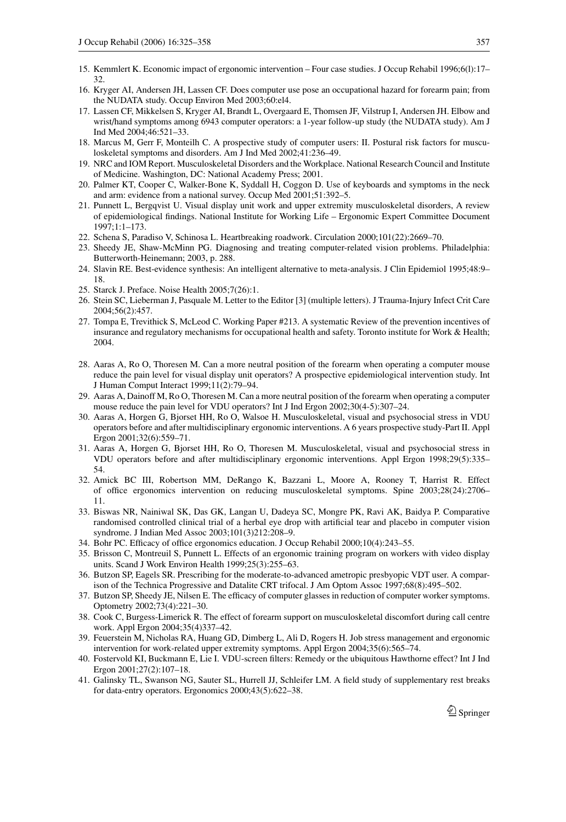- 15. Kemmlert K. Economic impact of ergonomic intervention Four case studies. J Occup Rehabil 1996;6(l):17– 32.
- <span id="page-32-7"></span>16. Kryger AI, Andersen JH, Lassen CF. Does computer use pose an occupational hazard for forearm pain; from the NUDATA study. Occup Environ Med 2003;60:el4.
- <span id="page-32-0"></span>17. Lassen CF, Mikkelsen S, Kryger AI, Brandt L, Overgaard E, Thomsen JF, Vilstrup I, Andersen JH. Elbow and wrist/hand symptoms among 6943 computer operators: a 1-year follow-up study (the NUDATA study). Am J Ind Med 2004;46:521–33.
- 18. Marcus M, Gerr F, Monteilh C. A prospective study of computer users: II. Postural risk factors for musculoskeletal symptoms and disorders. Am J Ind Med 2002;41:236–49.
- <span id="page-32-1"></span>19. NRC and IOM Report. Musculoskeletal Disorders and the Workplace. National Research Council and Institute of Medicine. Washington, DC: National Academy Press; 2001.
- <span id="page-32-5"></span>20. Palmer KT, Cooper C, Walker-Bone K, Syddall H, Coggon D. Use of keyboards and symptoms in the neck and arm: evidence from a national survey. Occup Med 2001;51:392–5.
- <span id="page-32-2"></span>21. Punnett L, Bergqvist U. Visual display unit work and upper extremity musculoskeletal disorders, A review of epidemiological findings. National Institute for Working Life – Ergonomic Expert Committee Document 1997;1:1–173.
- <span id="page-32-10"></span><span id="page-32-3"></span>22. Schena S, Paradiso V, Schinosa L. Heartbreaking roadwork. Circulation 2000;101(22):2669–70.
- 23. Sheedy JE, Shaw-McMinn PG. Diagnosing and treating computer-related vision problems. Philadelphia: Butterworth-Heinemann; 2003, p. 288.
- <span id="page-32-4"></span>24. Slavin RE. Best-evidence synthesis: An intelligent alternative to meta-analysis. J Clin Epidemiol 1995;48:9– 18.
- <span id="page-32-8"></span><span id="page-32-6"></span>25. Starck J. Preface. Noise Health 2005;7(26):1.
- 26. Stein SC, Lieberman J, Pasquale M. Letter to the Editor [3] (multiple letters). J Trauma-Injury Infect Crit Care 2004;56(2):457.
- <span id="page-32-9"></span>27. Tompa E, Trevithick S, McLeod C. Working Paper #213. A systematic Review of the prevention incentives of insurance and regulatory mechanisms for occupational health and safety. Toronto institute for Work & Health; 2004.
- <span id="page-32-11"></span>28. Aaras A, Ro O, Thoresen M. Can a more neutral position of the forearm when operating a computer mouse reduce the pain level for visual display unit operators? A prospective epidemiological intervention study. Int J Human Comput Interact 1999;11(2):79–94.
- <span id="page-32-19"></span>29. Aaras A, Dainoff M, Ro O, Thoresen M. Can a more neutral position of the forearm when operating a computer mouse reduce the pain level for VDU operators? Int J Ind Ergon 2002;30(4-5):307–24.
- 30. Aaras A, Horgen G, Bjorset HH, Ro O, Walsoe H. Musculoskeletal, visual and psychosocial stress in VDU operators before and after multidisciplinary ergonomic interventions. A 6 years prospective study-Part II. Appl Ergon 2001;32(6):559–71.
- <span id="page-32-18"></span>31. Aaras A, Horgen G, Bjorset HH, Ro O, Thoresen M. Musculoskeletal, visual and psychosocial stress in VDU operators before and after multidisciplinary ergonomic interventions. Appl Ergon 1998;29(5):335– 54.
- 32. Amick BC III, Robertson MM, DeRango K, Bazzani L, Moore A, Rooney T, Harrist R. Effect of office ergonomics intervention on reducing musculoskeletal symptoms. Spine 2003;28(24):2706– 11.
- <span id="page-32-12"></span>33. Biswas NR, Nainiwal SK, Das GK, Langan U, Dadeya SC, Mongre PK, Ravi AK, Baidya P. Comparative randomised controlled clinical trial of a herbal eye drop with artificial tear and placebo in computer vision syndrome. J Indian Med Assoc 2003;101(3)212:208–9.
- <span id="page-32-23"></span><span id="page-32-16"></span>34. Bohr PC. Efficacy of office ergonomics education. J Occup Rehabil 2000;10(4):243–55.
- 35. Brisson C, Montreuil S, Punnett L. Effects of an ergonomic training program on workers with video display units. Scand J Work Environ Health 1999;25(3):255–63.
- <span id="page-32-13"></span>36. Butzon SP, Eagels SR. Prescribing for the moderate-to-advanced ametropic presbyopic VDT user. A comparison of the Technica Progressive and Datalite CRT trifocal. J Am Optom Assoc 1997;68(8):495–502.
- <span id="page-32-15"></span>37. Butzon SP, Sheedy JE, Nilsen E. The efficacy of computer glasses in reduction of computer worker symptoms. Optometry 2002;73(4):221–30.
- <span id="page-32-22"></span>38. Cook C, Burgess-Limerick R. The effect of forearm support on musculoskeletal discomfort during call centre work. Appl Ergon 2004;35(4)337–42.
- <span id="page-32-17"></span>39. Feuerstein M, Nicholas RA, Huang GD, Dimberg L, Ali D, Rogers H. Job stress management and ergonomic intervention for work-related upper extremity symptoms. Appl Ergon 2004;35(6):565–74.
- <span id="page-32-14"></span>40. Fostervold KI, Buckmann E, Lie I. VDU-screen filters: Remedy or the ubiquitous Hawthorne effect? Int J Ind Ergon 2001;27(2):107–18.
- <span id="page-32-21"></span><span id="page-32-20"></span>41. Galinsky TL, Swanson NG, Sauter SL, Hurrell JJ, Schleifer LM. A field study of supplementary rest breaks for data-entry operators. Ergonomics 2000;43(5):622–38.